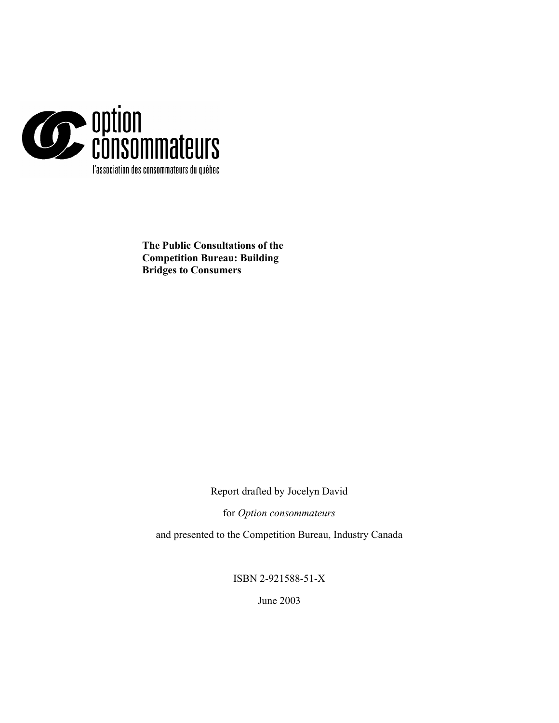

**The Public Consultations of the Competition Bureau: Building Bridges to Consumers** 

Report drafted by Jocelyn David

for *Option consommateurs*

and presented to the Competition Bureau, Industry Canada

ISBN 2-921588-51-X

June 2003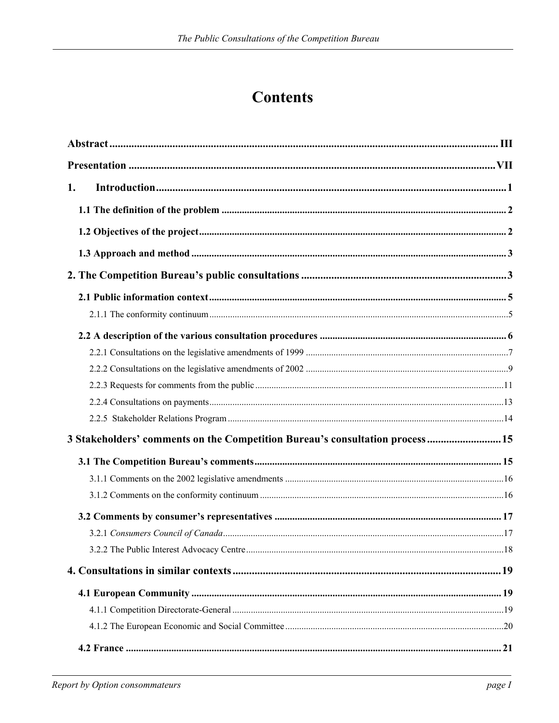# **Contents**

| 1.                                                                           |  |
|------------------------------------------------------------------------------|--|
|                                                                              |  |
|                                                                              |  |
|                                                                              |  |
|                                                                              |  |
|                                                                              |  |
|                                                                              |  |
|                                                                              |  |
|                                                                              |  |
|                                                                              |  |
|                                                                              |  |
|                                                                              |  |
|                                                                              |  |
| 3 Stakeholders' comments on the Competition Bureau's consultation process 15 |  |
|                                                                              |  |
|                                                                              |  |
|                                                                              |  |
|                                                                              |  |
|                                                                              |  |
|                                                                              |  |
|                                                                              |  |
|                                                                              |  |
|                                                                              |  |
|                                                                              |  |
|                                                                              |  |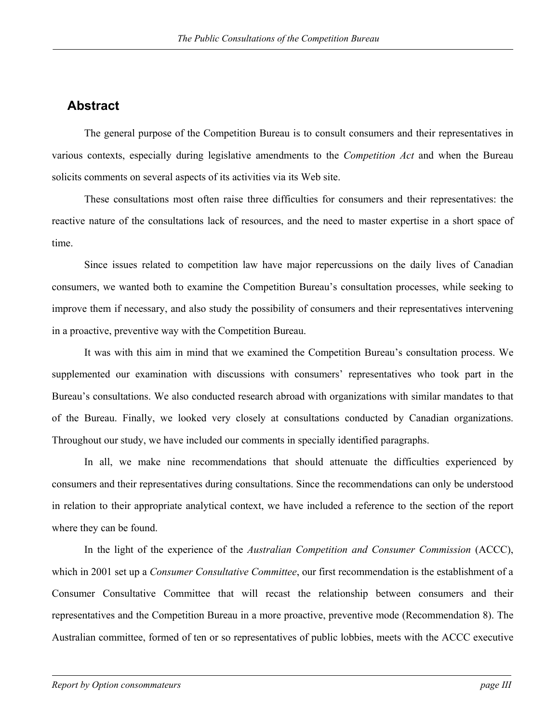## <span id="page-3-0"></span>**Abstract**

The general purpose of the Competition Bureau is to consult consumers and their representatives in various contexts, especially during legislative amendments to the *Competition Act* and when the Bureau solicits comments on several aspects of its activities via its Web site.

These consultations most often raise three difficulties for consumers and their representatives: the reactive nature of the consultations lack of resources, and the need to master expertise in a short space of time.

Since issues related to competition law have major repercussions on the daily lives of Canadian consumers, we wanted both to examine the Competition Bureau's consultation processes, while seeking to improve them if necessary, and also study the possibility of consumers and their representatives intervening in a proactive, preventive way with the Competition Bureau.

It was with this aim in mind that we examined the Competition Bureau's consultation process. We supplemented our examination with discussions with consumers' representatives who took part in the Bureau's consultations. We also conducted research abroad with organizations with similar mandates to that of the Bureau. Finally, we looked very closely at consultations conducted by Canadian organizations. Throughout our study, we have included our comments in specially identified paragraphs.

In all, we make nine recommendations that should attenuate the difficulties experienced by consumers and their representatives during consultations. Since the recommendations can only be understood in relation to their appropriate analytical context, we have included a reference to the section of the report where they can be found.

In the light of the experience of the *Australian Competition and Consumer Commission* (ACCC), which in 2001 set up a *Consumer Consultative Committee*, our first recommendation is the establishment of a Consumer Consultative Committee that will recast the relationship between consumers and their representatives and the Competition Bureau in a more proactive, preventive mode (Recommendation 8). The Australian committee, formed of ten or so representatives of public lobbies, meets with the ACCC executive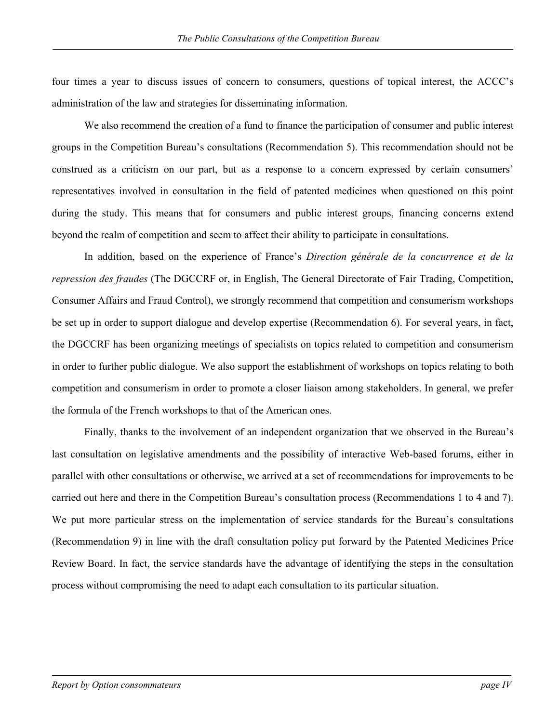four times a year to discuss issues of concern to consumers, questions of topical interest, the ACCC's administration of the law and strategies for disseminating information.

We also recommend the creation of a fund to finance the participation of consumer and public interest groups in the Competition Bureau's consultations (Recommendation 5). This recommendation should not be construed as a criticism on our part, but as a response to a concern expressed by certain consumers' representatives involved in consultation in the field of patented medicines when questioned on this point during the study. This means that for consumers and public interest groups, financing concerns extend beyond the realm of competition and seem to affect their ability to participate in consultations.

In addition, based on the experience of France's *Direction générale de la concurrence et de la repression des fraudes* (The DGCCRF or, in English, The General Directorate of Fair Trading, Competition, Consumer Affairs and Fraud Control), we strongly recommend that competition and consumerism workshops be set up in order to support dialogue and develop expertise (Recommendation 6). For several years, in fact, the DGCCRF has been organizing meetings of specialists on topics related to competition and consumerism in order to further public dialogue. We also support the establishment of workshops on topics relating to both competition and consumerism in order to promote a closer liaison among stakeholders. In general, we prefer the formula of the French workshops to that of the American ones.

Finally, thanks to the involvement of an independent organization that we observed in the Bureau's last consultation on legislative amendments and the possibility of interactive Web-based forums, either in parallel with other consultations or otherwise, we arrived at a set of recommendations for improvements to be carried out here and there in the Competition Bureau's consultation process (Recommendations 1 to 4 and 7). We put more particular stress on the implementation of service standards for the Bureau's consultations (Recommendation 9) in line with the draft consultation policy put forward by the Patented Medicines Price Review Board. In fact, the service standards have the advantage of identifying the steps in the consultation process without compromising the need to adapt each consultation to its particular situation.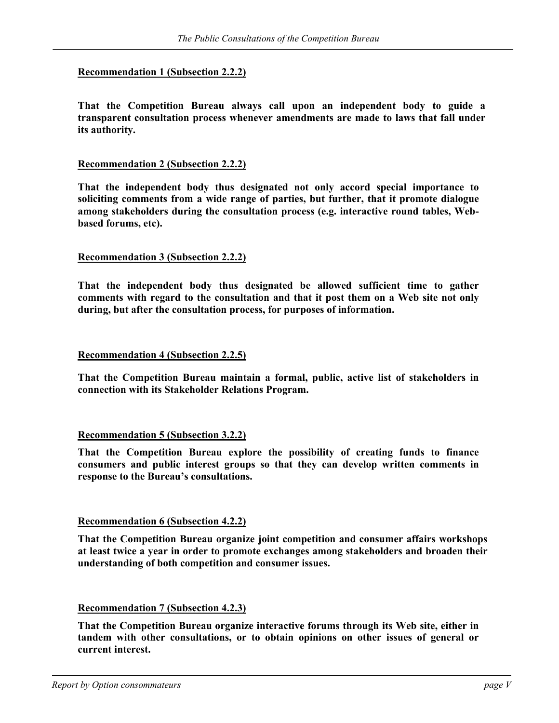### **Recommendation 1 (Subsection 2.2.2)**

**That the Competition Bureau always call upon an independent body to guide a transparent consultation process whenever amendments are made to laws that fall under its authority.**

### **Recommendation 2 (Subsection 2.2.2)**

**That the independent body thus designated not only accord special importance to soliciting comments from a wide range of parties, but further, that it promote dialogue among stakeholders during the consultation process (e.g. interactive round tables, Webbased forums, etc).** 

### **Recommendation 3 (Subsection 2.2.2)**

**That the independent body thus designated be allowed sufficient time to gather comments with regard to the consultation and that it post them on a Web site not only during, but after the consultation process, for purposes of information.** 

#### **Recommendation 4 (Subsection 2.2.5)**

**That the Competition Bureau maintain a formal, public, active list of stakeholders in connection with its Stakeholder Relations Program.** 

#### **Recommendation 5 (Subsection 3.2.2)**

**That the Competition Bureau explore the possibility of creating funds to finance consumers and public interest groups so that they can develop written comments in response to the Bureau's consultations.** 

### **Recommendation 6 (Subsection 4.2.2)**

**That the Competition Bureau organize joint competition and consumer affairs workshops at least twice a year in order to promote exchanges among stakeholders and broaden their understanding of both competition and consumer issues.** 

#### **Recommendation 7 (Subsection 4.2.3)**

**That the Competition Bureau organize interactive forums through its Web site, either in tandem with other consultations, or to obtain opinions on other issues of general or current interest.**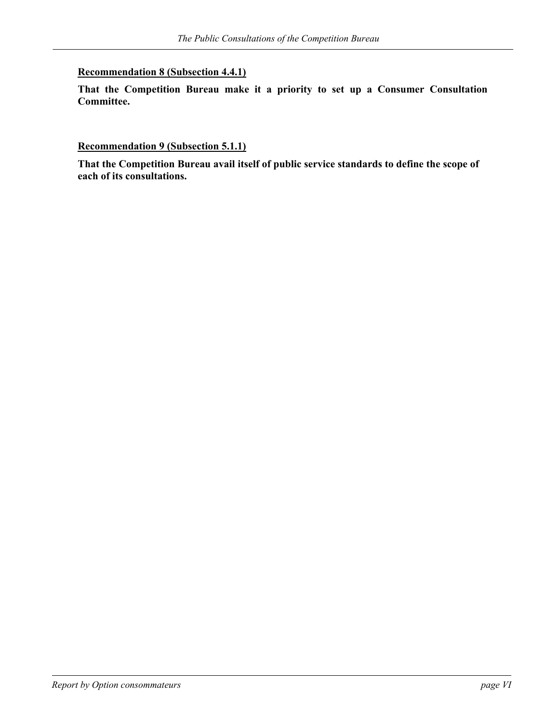### **Recommendation 8 (Subsection 4.4.1)**

**That the Competition Bureau make it a priority to set up a Consumer Consultation Committee.**

**Recommendation 9 (Subsection 5.1.1)**

**That the Competition Bureau avail itself of public service standards to define the scope of each of its consultations.**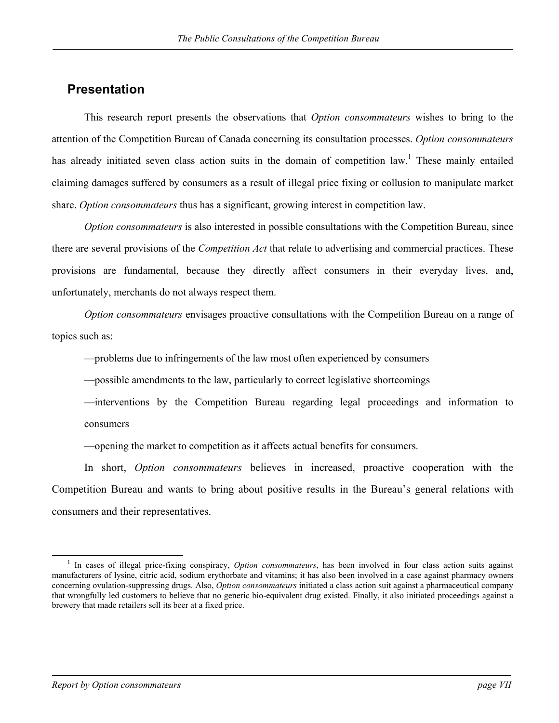### <span id="page-7-0"></span>**Presentation**

This research report presents the observations that *Option consommateurs* wishes to bring to the attention of the Competition Bureau of Canada concerning its consultation processes. *Option consommateurs* has already initiated seven class action suits in the domain of competition law.<sup>[1](#page-7-1)</sup> These mainly entailed claiming damages suffered by consumers as a result of illegal price fixing or collusion to manipulate market share. *Option consommateurs* thus has a significant, growing interest in competition law.

*Option consommateurs* is also interested in possible consultations with the Competition Bureau, since there are several provisions of the *Competition Act* that relate to advertising and commercial practices. These provisions are fundamental, because they directly affect consumers in their everyday lives, and, unfortunately, merchants do not always respect them.

*Option consommateurs* envisages proactive consultations with the Competition Bureau on a range of topics such as:

—problems due to infringements of the law most often experienced by consumers

—possible amendments to the law, particularly to correct legislative shortcomings

—interventions by the Competition Bureau regarding legal proceedings and information to consumers

—opening the market to competition as it affects actual benefits for consumers.

In short, *Option consommateurs* believes in increased, proactive cooperation with the Competition Bureau and wants to bring about positive results in the Bureau's general relations with consumers and their representatives.

<span id="page-7-1"></span> <sup>1</sup> <sup>1</sup> In cases of illegal price-fixing conspiracy, *Option consommateurs*, has been involved in four class action suits against manufacturers of lysine, citric acid, sodium erythorbate and vitamins; it has also been involved in a case against pharmacy owners concerning ovulation-suppressing drugs. Also, *Option consommateurs* initiated a class action suit against a pharmaceutical company that wrongfully led customers to believe that no generic bio-equivalent drug existed. Finally, it also initiated proceedings against a brewery that made retailers sell its beer at a fixed price.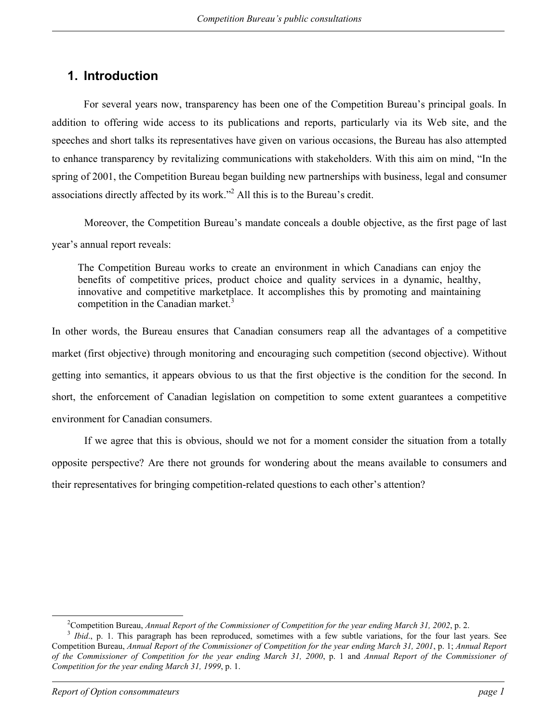## <span id="page-8-0"></span>**1. Introduction**

For several years now, transparency has been one of the Competition Bureau's principal goals. In addition to offering wide access to its publications and reports, particularly via its Web site, and the speeches and short talks its representatives have given on various occasions, the Bureau has also attempted to enhance transparency by revitalizing communications with stakeholders. With this aim on mind, "In the spring of 2001, the Competition Bureau began building new partnerships with business, legal and consumer associations directly affected by its work."<sup>[2](#page-8-1)</sup> All this is to the Bureau's credit.

Moreover, the Competition Bureau's mandate conceals a double objective, as the first page of last year's annual report reveals:

The Competition Bureau works to create an environment in which Canadians can enjoy the benefits of competitive prices, product choice and quality services in a dynamic, healthy, innovative and competitive marketplace. It accomplishes this by promoting and maintaining competition in the Canadian market.<sup>[3](#page-8-2)</sup>

In other words, the Bureau ensures that Canadian consumers reap all the advantages of a competitive market (first objective) through monitoring and encouraging such competition (second objective). Without getting into semantics, it appears obvious to us that the first objective is the condition for the second. In short, the enforcement of Canadian legislation on competition to some extent guarantees a competitive environment for Canadian consumers.

If we agree that this is obvious, should we not for a moment consider the situation from a totally opposite perspective? Are there not grounds for wondering about the means available to consumers and their representatives for bringing competition-related questions to each other's attention?

 $\overline{2}$ 

<span id="page-8-2"></span><span id="page-8-1"></span><sup>&</sup>lt;sup>2</sup>Competition Bureau, *Annual Report of the Commissioner of Competition for the year ending March 31, 2002*, p. 2.<br><sup>3</sup> *Ibid.*, p. 1. This paragraph has been reproduced, sometimes with a few subtle variations, for the fo Competition Bureau, *Annual Report of the Commissioner of Competition for the year ending March 31, 2001*, p. 1; *Annual Report of the Commissioner of Competition for the year ending March 31, 2000*, p. 1 and *Annual Report of the Commissioner of Competition for the year ending March 31, 1999*, p. 1.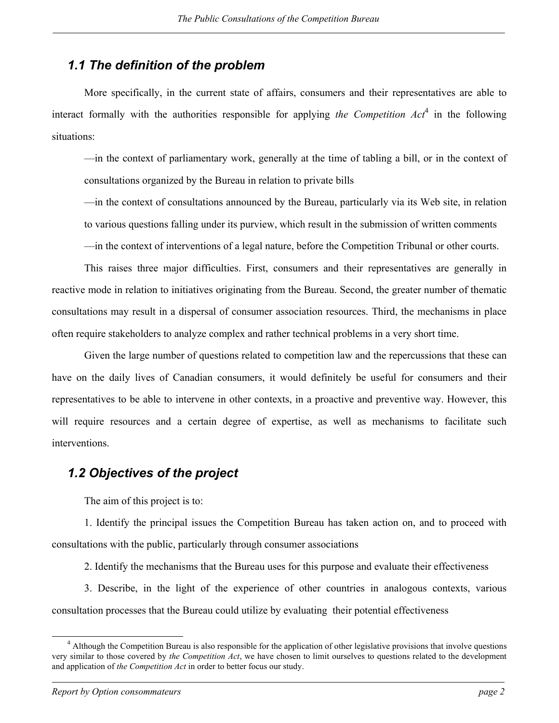## <span id="page-9-0"></span>*1.1 The definition of the problem*

More specifically, in the current state of affairs, consumers and their representatives are able to interact formally with the authorities responsible for applying *the Competition Act*<sup>[4](#page-9-1)</sup> in the following situations:

—in the context of parliamentary work, generally at the time of tabling a bill, or in the context of consultations organized by the Bureau in relation to private bills

—in the context of consultations announced by the Bureau, particularly via its Web site, in relation to various questions falling under its purview, which result in the submission of written comments

—in the context of interventions of a legal nature, before the Competition Tribunal or other courts.

This raises three major difficulties. First, consumers and their representatives are generally in reactive mode in relation to initiatives originating from the Bureau. Second, the greater number of thematic consultations may result in a dispersal of consumer association resources. Third, the mechanisms in place often require stakeholders to analyze complex and rather technical problems in a very short time.

Given the large number of questions related to competition law and the repercussions that these can have on the daily lives of Canadian consumers, it would definitely be useful for consumers and their representatives to be able to intervene in other contexts, in a proactive and preventive way. However, this will require resources and a certain degree of expertise, as well as mechanisms to facilitate such interventions.

## *1.2 Objectives of the project*

The aim of this project is to:

1. Identify the principal issues the Competition Bureau has taken action on, and to proceed with consultations with the public, particularly through consumer associations

2. Identify the mechanisms that the Bureau uses for this purpose and evaluate their effectiveness

3. Describe, in the light of the experience of other countries in analogous contexts, various consultation processes that the Bureau could utilize by evaluating their potential effectiveness

<span id="page-9-1"></span> $\overline{4}$  $<sup>4</sup>$  Although the Competition Bureau is also responsible for the application of other legislative provisions that involve questions</sup> very similar to those covered by *the Competition Act*, we have chosen to limit ourselves to questions related to the development and application of *the Competition Act* in order to better focus our study.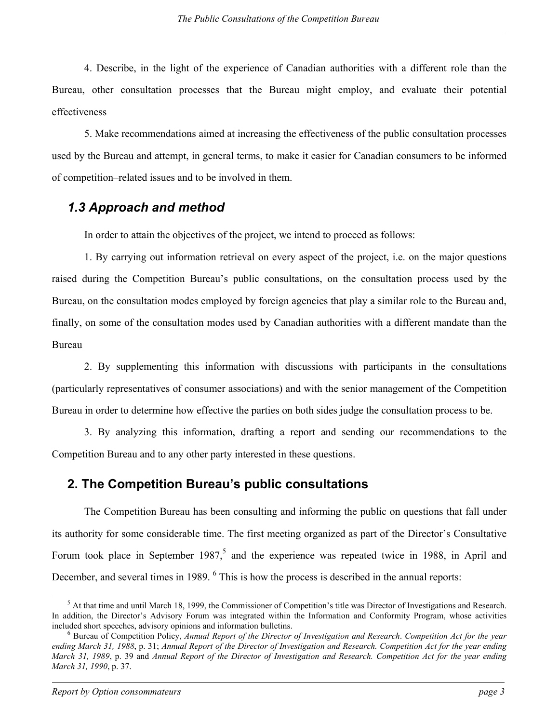<span id="page-10-0"></span>4. Describe, in the light of the experience of Canadian authorities with a different role than the Bureau, other consultation processes that the Bureau might employ, and evaluate their potential effectiveness

5. Make recommendations aimed at increasing the effectiveness of the public consultation processes used by the Bureau and attempt, in general terms, to make it easier for Canadian consumers to be informed of competition–related issues and to be involved in them.

## *1.3 Approach and method*

In order to attain the objectives of the project, we intend to proceed as follows:

1. By carrying out information retrieval on every aspect of the project, i.e. on the major questions raised during the Competition Bureau's public consultations, on the consultation process used by the Bureau, on the consultation modes employed by foreign agencies that play a similar role to the Bureau and, finally, on some of the consultation modes used by Canadian authorities with a different mandate than the Bureau

2. By supplementing this information with discussions with participants in the consultations (particularly representatives of consumer associations) and with the senior management of the Competition Bureau in order to determine how effective the parties on both sides judge the consultation process to be.

3. By analyzing this information, drafting a report and sending our recommendations to the Competition Bureau and to any other party interested in these questions.

## **2. The Competition Bureau's public consultations**

The Competition Bureau has been consulting and informing the public on questions that fall under its authority for some considerable time. The first meeting organized as part of the Director's Consultative Forum took place in September 1987,<sup>[5](#page-10-1)</sup> and the experience was repeated twice in 1988, in April and December, and several times in 1989. <sup>[6](#page-10-2)</sup> This is how the process is described in the annual reports:

<span id="page-10-1"></span> $\frac{1}{5}$ <sup>5</sup> At that time and until March 18, 1999, the Commissioner of Competition's title was Director of Investigations and Research. In addition, the Director's Advisory Forum was integrated within the Information and Conformity Program, whose activities included short speeches, advisory opinions and information bulletins. 6

<span id="page-10-2"></span>Bureau of Competition Policy, *Annual Report of the Director of Investigation and Research*. *Competition Act for the year ending March 31, 1988*, p. 31; *Annual Report of the Director of Investigation and Research. Competition Act for the year ending March 31, 1989*, p. 39 and *Annual Report of the Director of Investigation and Research. Competition Act for the year ending March 31, 1990*, p. 37.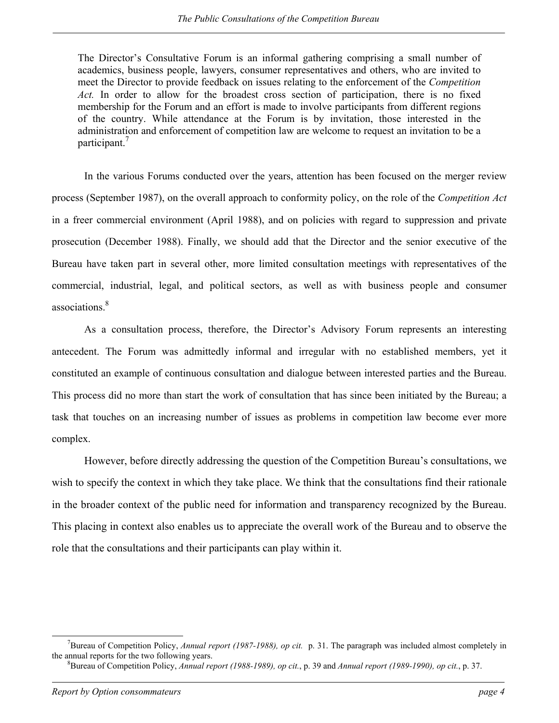The Director's Consultative Forum is an informal gathering comprising a small number of academics, business people, lawyers, consumer representatives and others, who are invited to meet the Director to provide feedback on issues relating to the enforcement of the *Competition* Act. In order to allow for the broadest cross section of participation, there is no fixed membership for the Forum and an effort is made to involve participants from different regions of the country. While attendance at the Forum is by invitation, those interested in the administration and enforcement of competition law are welcome to request an invitation to be a participant.<sup>7</sup>

In the various Forums conducted over the years, attention has been focused on the merger review process (September 1987), on the overall approach to conformity policy, on the role of the *Competition Act*  in a freer commercial environment (April 1988), and on policies with regard to suppression and private prosecution (December 1988). Finally, we should add that the Director and the senior executive of the Bureau have taken part in several other, more limited consultation meetings with representatives of the commercial, industrial, legal, and political sectors, as well as with business people and consumer associations<sup>[8](#page-11-1)</sup>

As a consultation process, therefore, the Director's Advisory Forum represents an interesting antecedent. The Forum was admittedly informal and irregular with no established members, yet it constituted an example of continuous consultation and dialogue between interested parties and the Bureau. This process did no more than start the work of consultation that has since been initiated by the Bureau; a task that touches on an increasing number of issues as problems in competition law become ever more complex.

However, before directly addressing the question of the Competition Bureau's consultations, we wish to specify the context in which they take place. We think that the consultations find their rationale in the broader context of the public need for information and transparency recognized by the Bureau. This placing in context also enables us to appreciate the overall work of the Bureau and to observe the role that the consultations and their participants can play within it.

<span id="page-11-0"></span> $\frac{1}{7}$ <sup>7</sup>Bureau of Competition Policy, *Annual report (1987-1988), op cit.* p. 31. The paragraph was included almost completely in the annual reports for the two following years.

<span id="page-11-1"></span>Bureau of Competition Policy, *Annual report (1988-1989), op cit.*, p. 39 and *Annual report (1989-1990), op cit.*, p. 37.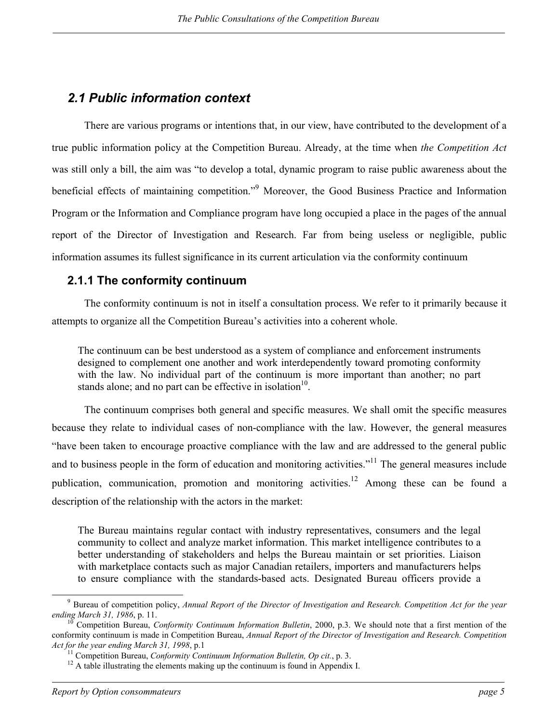## <span id="page-12-0"></span>*2.1 Public information context*

There are various programs or intentions that, in our view, have contributed to the development of a true public information policy at the Competition Bureau. Already, at the time when *the Competition Act*  was still only a bill, the aim was "to develop a total, dynamic program to raise public awareness about the beneficial effects of maintaining competition."<sup>[9](#page-12-1)</sup> Moreover, the Good Business Practice and Information Program or the Information and Compliance program have long occupied a place in the pages of the annual report of the Director of Investigation and Research. Far from being useless or negligible, public information assumes its fullest significance in its current articulation via the conformity continuum

### **2.1.1 The conformity continuum**

The conformity continuum is not in itself a consultation process. We refer to it primarily because it attempts to organize all the Competition Bureau's activities into a coherent whole.

The continuum can be best understood as a system of compliance and enforcement instruments designed to complement one another and work interdependently toward promoting conformity with the law. No individual part of the continuum is more important than another; no part stands alone; and no part can be effective in isolation $10$ .

The continuum comprises both general and specific measures. We shall omit the specific measures because they relate to individual cases of non-compliance with the law. However, the general measures "have been taken to encourage proactive compliance with the law and are addressed to the general public and to business people in the form of education and monitoring activities."<sup>11</sup> The general measures include publication, communication, promotion and monitoring activities.<sup>12</sup> Among these can be found a description of the relationship with the actors in the market:

The Bureau maintains regular contact with industry representatives, consumers and the legal community to collect and analyze market information. This market intelligence contributes to a better understanding of stakeholders and helps the Bureau maintain or set priorities. Liaison with marketplace contacts such as major Canadian retailers, importers and manufacturers helps to ensure compliance with the standards-based acts. Designated Bureau officers provide a

<span id="page-12-1"></span> <sup>9</sup> Bureau of competition policy, *Annual Report of the Director of Investigation and Research. Competition Act for the year ending March 31, 1986*, p. 11.<br><sup>10</sup> Competition Bureau, *Conformity Continuum Information Bulletin*, 2000, p.3. We should note that a first mention of the

<span id="page-12-2"></span>conformity continuum is made in Competition Bureau, *Annual Report of the Director of Investigation and Research. Competition* 

<span id="page-12-3"></span><sup>&</sup>lt;sup>11</sup> Competition Bureau, *Conformity Continuum Information Bulletin, Op cit.*, p. 3. <sup>12</sup> A table illustrating the elements making up the continuum is found in Appendix I.

<span id="page-12-4"></span>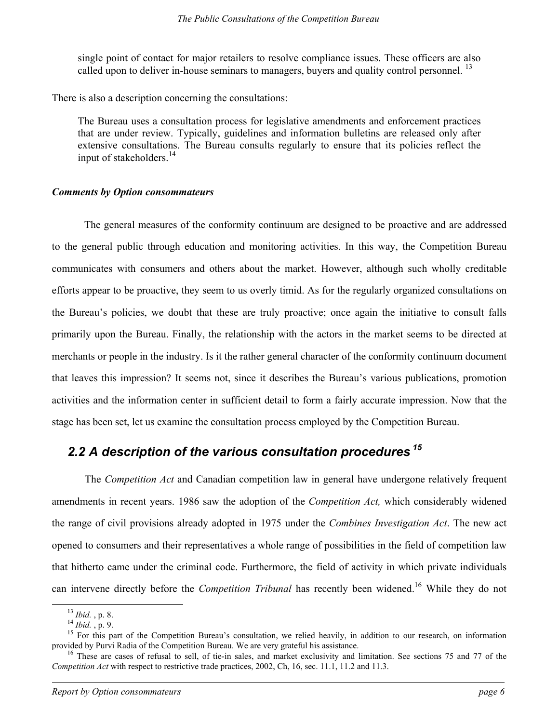<span id="page-13-0"></span>single point of contact for major retailers to resolve compliance issues. These officers are also called upon to deliver in-house seminars to managers, buyers and quality control personnel.<sup>13</sup>

There is also a description concerning the consultations:

The Bureau uses a consultation process for legislative amendments and enforcement practices that are under review. Typically, guidelines and information bulletins are released only after extensive consultations. The Bureau consults regularly to ensure that its policies reflect the input of stakeholders.<sup>[14](#page-13-2)</sup>

### *Comments by Option consommateurs*

The general measures of the conformity continuum are designed to be proactive and are addressed to the general public through education and monitoring activities. In this way, the Competition Bureau communicates with consumers and others about the market. However, although such wholly creditable efforts appear to be proactive, they seem to us overly timid. As for the regularly organized consultations on the Bureau's policies, we doubt that these are truly proactive; once again the initiative to consult falls primarily upon the Bureau. Finally, the relationship with the actors in the market seems to be directed at merchants or people in the industry. Is it the rather general character of the conformity continuum document that leaves this impression? It seems not, since it describes the Bureau's various publications, promotion activities and the information center in sufficient detail to form a fairly accurate impression. Now that the stage has been set, let us examine the consultation process employed by the Competition Bureau.

## *2.2 A description of the various consultation procedures [15](#page-13-3)*

The *Competition Act* and Canadian competition law in general have undergone relatively frequent amendments in recent years. 1986 saw the adoption of the *Competition Act,* which considerably widened the range of civil provisions already adopted in 1975 under the *Combines Investigation Act*. The new act opened to consumers and their representatives a whole range of possibilities in the field of competition law that hitherto came under the criminal code. Furthermore, the field of activity in which private individuals can intervene directly before the *Competition Tribunal* has recently been widened.[16](#page-13-4) While they do not

<span id="page-13-1"></span>

<span id="page-13-3"></span><span id="page-13-2"></span>

<sup>&</sup>lt;sup>13</sup> *Ibid.*, p. 8.<br><sup>14</sup> *Ibid.*, p. 9.<br><sup>15</sup> For this part of the Competition Bureau's consultation, we relied heavily, in addition to our research, on information<br>provided by Purvi Radia of the Competition Bureau. We are

<span id="page-13-4"></span><sup>&</sup>lt;sup>16</sup> These are cases of refusal to sell, of tie-in sales, and market exclusivity and limitation. See sections 75 and 77 of the *Competition Act* with respect to restrictive trade practices, 2002, Ch, 16, sec. 11.1, 11.2 and 11.3.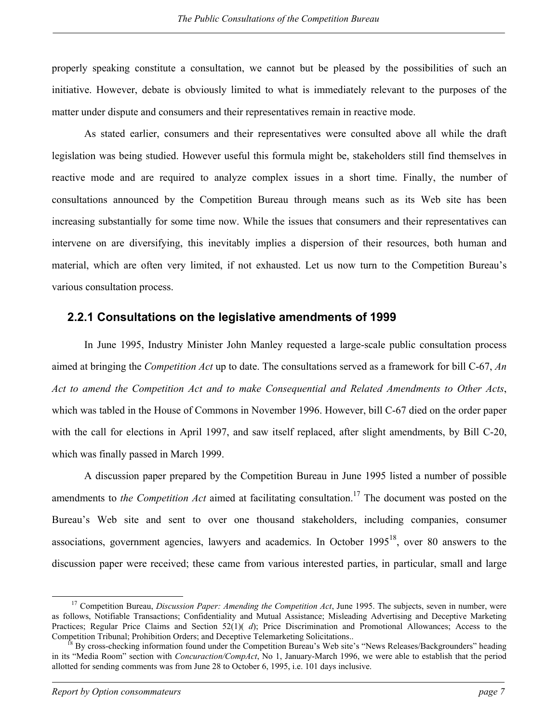<span id="page-14-0"></span>properly speaking constitute a consultation, we cannot but be pleased by the possibilities of such an initiative. However, debate is obviously limited to what is immediately relevant to the purposes of the matter under dispute and consumers and their representatives remain in reactive mode.

As stated earlier, consumers and their representatives were consulted above all while the draft legislation was being studied. However useful this formula might be, stakeholders still find themselves in reactive mode and are required to analyze complex issues in a short time. Finally, the number of consultations announced by the Competition Bureau through means such as its Web site has been increasing substantially for some time now. While the issues that consumers and their representatives can intervene on are diversifying, this inevitably implies a dispersion of their resources, both human and material, which are often very limited, if not exhausted. Let us now turn to the Competition Bureau's various consultation process.

### **2.2.1 Consultations on the legislative amendments of 1999**

In June 1995, Industry Minister John Manley requested a large-scale public consultation process aimed at bringing the *Competition Act* up to date. The consultations served as a framework for bill C-67, *An Act to amend the Competition Act and to make Consequential and Related Amendments to Other Acts*, which was tabled in the House of Commons in November 1996. However, bill C-67 died on the order paper with the call for elections in April 1997, and saw itself replaced, after slight amendments, by Bill C-20, which was finally passed in March 1999.

A discussion paper prepared by the Competition Bureau in June 1995 listed a number of possible amendments to *the Competition Act* aimed at facilitating consultation.<sup>[17](#page-14-1)</sup> The document was posted on the Bureau's Web site and sent to over one thousand stakeholders, including companies, consumer associations, government agencies, lawyers and academics. In October  $1995^{18}$  $1995^{18}$  $1995^{18}$ , over 80 answers to the discussion paper were received; these came from various interested parties, in particular, small and large

<span id="page-14-1"></span><sup>&</sup>lt;sup>17</sup> Competition Bureau, *Discussion Paper: Amending the Competition Act*, June 1995. The subjects, seven in number, were as follows, Notifiable Transactions; Confidentiality and Mutual Assistance; Misleading Advertising and Deceptive Marketing Practices; Regular Price Claims and Section 52(1)( *d*); Price Discrimination and Promotional Allowances; Access to the Competition Tribunal; Prohibition Orders; and Deceptive Telemarketing Solicitations.. <sup>18</sup> By cross-checking information found under the Competition Bureau's Web site's "News Releases/Backgrounders" heading

<span id="page-14-2"></span>in its "Media Room" section with *Concuraction/CompAct*, No 1, January-March 1996, we were able to establish that the period allotted for sending comments was from June 28 to October 6, 1995, i.e. 101 days inclusive.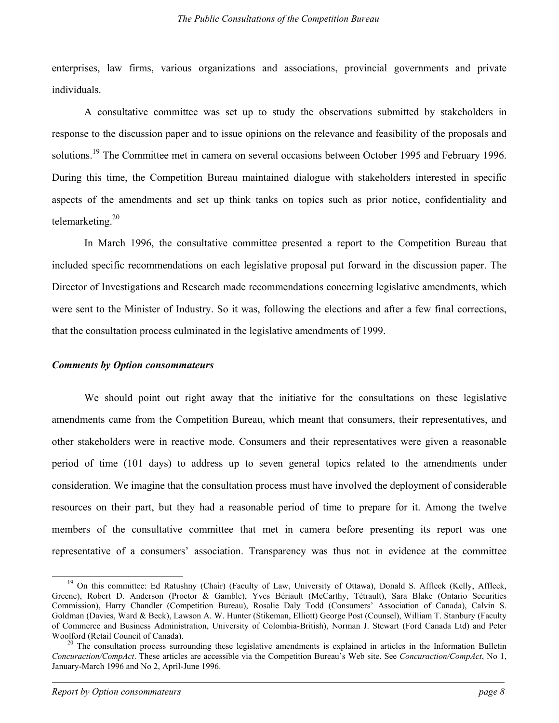enterprises, law firms, various organizations and associations, provincial governments and private individuals.

A consultative committee was set up to study the observations submitted by stakeholders in response to the discussion paper and to issue opinions on the relevance and feasibility of the proposals and solutions.<sup>[19](#page-15-0)</sup> The Committee met in camera on several occasions between October 1995 and February 1996. During this time, the Competition Bureau maintained dialogue with stakeholders interested in specific aspects of the amendments and set up think tanks on topics such as prior notice, confidentiality and telemarketing. [20](#page-15-1)

In March 1996, the consultative committee presented a report to the Competition Bureau that included specific recommendations on each legislative proposal put forward in the discussion paper. The Director of Investigations and Research made recommendations concerning legislative amendments, which were sent to the Minister of Industry. So it was, following the elections and after a few final corrections, that the consultation process culminated in the legislative amendments of 1999.

#### *Comments by Option consommateurs*

We should point out right away that the initiative for the consultations on these legislative amendments came from the Competition Bureau, which meant that consumers, their representatives, and other stakeholders were in reactive mode. Consumers and their representatives were given a reasonable period of time (101 days) to address up to seven general topics related to the amendments under consideration. We imagine that the consultation process must have involved the deployment of considerable resources on their part, but they had a reasonable period of time to prepare for it. Among the twelve members of the consultative committee that met in camera before presenting its report was one representative of a consumers' association. Transparency was thus not in evidence at the committee

<span id="page-15-0"></span><sup>&</sup>lt;sup>19</sup> On this committee: Ed Ratushny (Chair) (Faculty of Law, University of Ottawa), Donald S. Affleck (Kelly, Affleck, Greene), Robert D. Anderson (Proctor & Gamble), Yves Bériault (McCarthy, Tétrault), Sara Blake (Ontario Securities Commission), Harry Chandler (Competition Bureau), Rosalie Daly Todd (Consumers' Association of Canada), Calvin S. Goldman (Davies, Ward & Beck), Lawson A. W. Hunter (Stikeman, Elliott) George Post (Counsel), William T. Stanbury (Faculty of Commerce and Business Administration, University of Colombia-British), Norman J. Stewart (Ford Canada Ltd) and Peter Woolford (Retail Council of Canada).<br><sup>20</sup> The consultation process surrounding these legislative amendments is explained in articles in the Information Bulletin

<span id="page-15-1"></span>*Concuraction/CompAct*. These articles are accessible via the Competition Bureau's Web site. See *Concuraction/CompAct*, No 1, January-March 1996 and No 2, April-June 1996.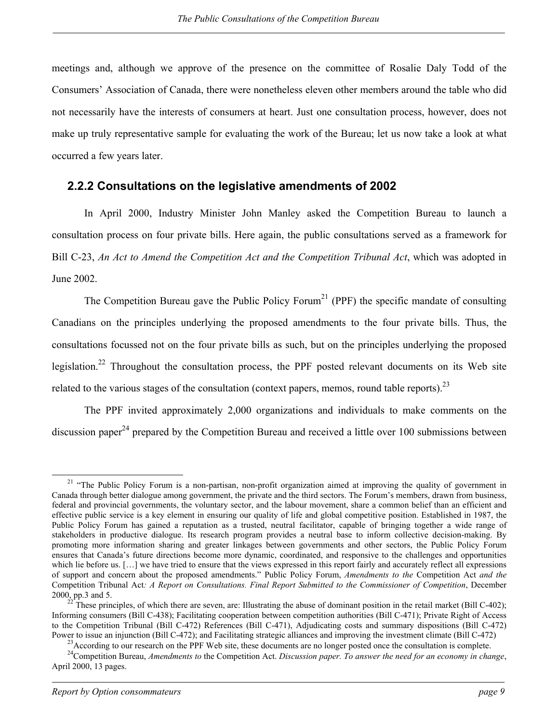<span id="page-16-0"></span>meetings and, although we approve of the presence on the committee of Rosalie Daly Todd of the Consumers' Association of Canada, there were nonetheless eleven other members around the table who did not necessarily have the interests of consumers at heart. Just one consultation process, however, does not make up truly representative sample for evaluating the work of the Bureau; let us now take a look at what occurred a few years later.

### **2.2.2 Consultations on the legislative amendments of 2002**

In April 2000, Industry Minister John Manley asked the Competition Bureau to launch a consultation process on four private bills. Here again, the public consultations served as a framework for Bill C-23, *An Act to Amend the Competition Act and the Competition Tribunal Act*, which was adopted in June 2002.

The Competition Bureau gave the Public Policy Forum<sup>[21](#page-16-1)</sup> (PPF) the specific mandate of consulting Canadians on the principles underlying the proposed amendments to the four private bills. Thus, the consultations focussed not on the four private bills as such, but on the principles underlying the proposed legislation.<sup>[22](#page-16-2)</sup> Throughout the consultation process, the PPF posted relevant documents on its Web site related to the various stages of the consultation (context papers, memos, round table reports).  $^{23}$  $^{23}$  $^{23}$ 

The PPF invited approximately 2,000 organizations and individuals to make comments on the discussion paper<sup>[24](#page-16-4)</sup> prepared by the Competition Bureau and received a little over 100 submissions between

<span id="page-16-1"></span><sup>&</sup>lt;sup>21</sup> "The Public Policy Forum is a non-partisan, non-profit organization aimed at improving the quality of government in Canada through better dialogue among government, the private and the third sectors. The Forum's members, drawn from business, federal and provincial governments, the voluntary sector, and the labour movement, share a common belief than an efficient and effective public service is a key element in ensuring our quality of life and global competitive position. Established in 1987, the Public Policy Forum has gained a reputation as a trusted, neutral facilitator, capable of bringing together a wide range of stakeholders in productive dialogue. Its research program provides a neutral base to inform collective decision-making. By promoting more information sharing and greater linkages between governments and other sectors, the Public Policy Forum ensures that Canada's future directions become more dynamic, coordinated, and responsive to the challenges and opportunities which lie before us. [...] we have tried to ensure that the views expressed in this report fairly and accurately reflect all expressions of support and concern about the proposed amendments." Public Policy Forum, *Amendments to the* Competition Act *and the*  Competition Tribunal Act*: A Report on Consultations. Final Report Submitted to the Commissioner of Competition*, December 2000, pp.3 and 5. <sup>22</sup> These principles, of which there are seven, are: Illustrating the abuse of dominant position in the retail market (Bill C-402);

<span id="page-16-2"></span>Informing consumers (Bill C-438); Facilitating cooperation between competition authorities (Bill C-471); Private Right of Access to the Competition Tribunal (Bill C-472) References (Bill C-471), Adjudicating costs and summary dispositions (Bill C-472)

<span id="page-16-3"></span>Power to issue an injunction (Bill C-472); and Facilitating strategic alliances and improving the investment climate (Bill C-472)<br><sup>23</sup> According to our research on the PPF Web site, these documents are no longer posted onc

<span id="page-16-4"></span>April 2000, 13 pages.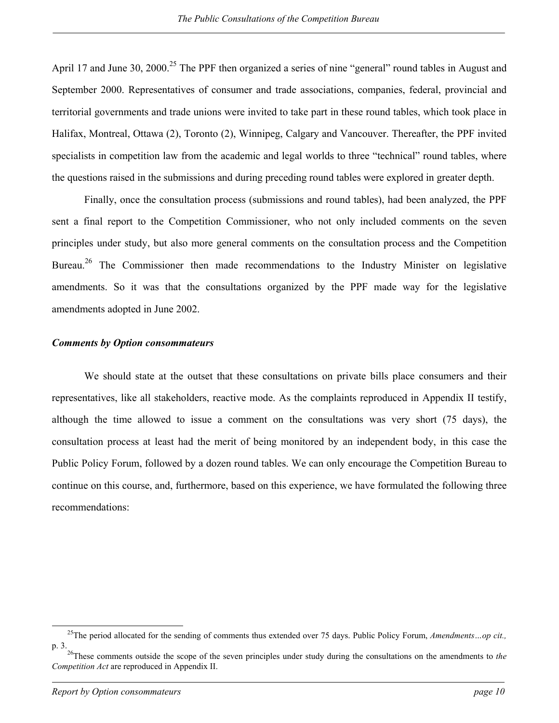April 17 and June 30, 2000.<sup>[25](#page-17-0)</sup> The PPF then organized a series of nine "general" round tables in August and September 2000. Representatives of consumer and trade associations, companies, federal, provincial and territorial governments and trade unions were invited to take part in these round tables, which took place in Halifax, Montreal, Ottawa (2), Toronto (2), Winnipeg, Calgary and Vancouver. Thereafter, the PPF invited specialists in competition law from the academic and legal worlds to three "technical" round tables, where the questions raised in the submissions and during preceding round tables were explored in greater depth.

Finally, once the consultation process (submissions and round tables), had been analyzed, the PPF sent a final report to the Competition Commissioner, who not only included comments on the seven principles under study, but also more general comments on the consultation process and the Competition Bureau.<sup>[26](#page-17-1)</sup> The Commissioner then made recommendations to the Industry Minister on legislative amendments. So it was that the consultations organized by the PPF made way for the legislative amendments adopted in June 2002.

#### *Comments by Option consommateurs*

We should state at the outset that these consultations on private bills place consumers and their representatives, like all stakeholders, reactive mode. As the complaints reproduced in Appendix II testify, although the time allowed to issue a comment on the consultations was very short (75 days), the consultation process at least had the merit of being monitored by an independent body, in this case the Public Policy Forum, followed by a dozen round tables. We can only encourage the Competition Bureau to continue on this course, and, furthermore, based on this experience, we have formulated the following three recommendations:

<span id="page-17-0"></span> <sup>25</sup>The period allocated for the sending of comments thus extended over 75 days. Public Policy Forum, *Amendments…op cit.,*

<span id="page-17-1"></span>p. 3. 26These comments outside the scope of the seven principles under study during the consultations on the amendments to *the Competition Act* are reproduced in Appendix II.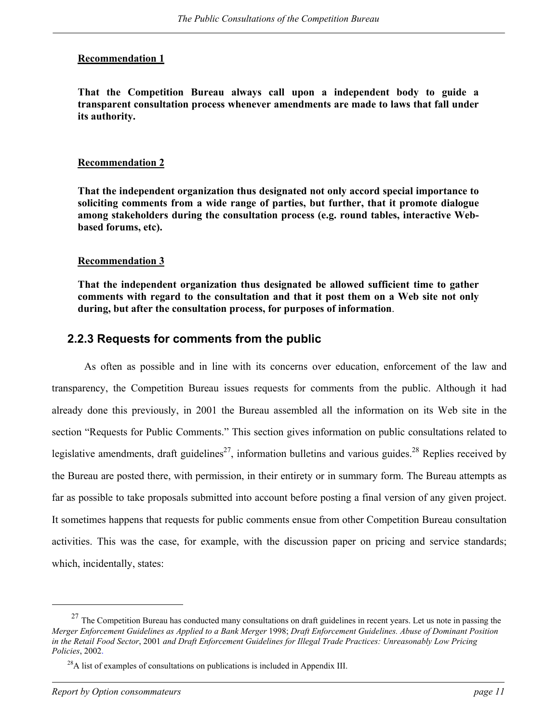### <span id="page-18-0"></span>**Recommendation 1**

**That the Competition Bureau always call upon a independent body to guide a transparent consultation process whenever amendments are made to laws that fall under its authority.**

#### **Recommendation 2**

**That the independent organization thus designated not only accord special importance to soliciting comments from a wide range of parties, but further, that it promote dialogue among stakeholders during the consultation process (e.g. round tables, interactive Webbased forums, etc).** 

### **Recommendation 3**

**That the independent organization thus designated be allowed sufficient time to gather comments with regard to the consultation and that it post them on a Web site not only during, but after the consultation process, for purposes of information**.

### **2.2.3 Requests for comments from the public**

As often as possible and in line with its concerns over education, enforcement of the law and transparency, the Competition Bureau issues requests for comments from the public. Although it had already done this previously, in 2001 the Bureau assembled all the information on its Web site in the section "Requests for Public Comments." This section gives information on public consultations related to legislative amendments, draft guidelines<sup>[27](#page-18-1)</sup>, information bulletins and various guides.<sup>[28](#page-18-2)</sup> Replies received by the Bureau are posted there, with permission, in their entirety or in summary form. The Bureau attempts as far as possible to take proposals submitted into account before posting a final version of any given project. It sometimes happens that requests for public comments ensue from other Competition Bureau consultation activities. This was the case, for example, with the discussion paper on pricing and service standards; which, incidentally, states:

l

<span id="page-18-1"></span> $27$  The Competition Bureau has conducted many consultations on draft guidelines in recent years. Let us note in passing the *Merger Enforcement Guidelines as Applied to a Bank Merger* 1998; *Draft Enforcement Guidelines. Abuse of Dominant Position in the Retail Food Sector*, 2001 *and Draft Enforcement Guidelines for Illegal Trade Practices: Unreasonably Low Pricing* 

<span id="page-18-2"></span><sup>&</sup>lt;sup>28</sup>A list of examples of consultations on publications is included in Appendix III.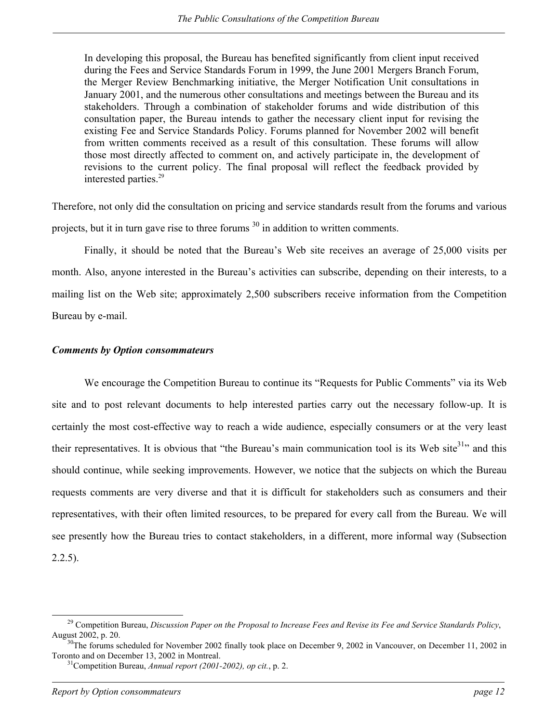In developing this proposal, the Bureau has benefited significantly from client input received during the Fees and Service Standards Forum in 1999, the June 2001 Mergers Branch Forum, the Merger Review Benchmarking initiative, the Merger Notification Unit consultations in January 2001, and the numerous other consultations and meetings between the Bureau and its stakeholders. Through a combination of stakeholder forums and wide distribution of this consultation paper, the Bureau intends to gather the necessary client input for revising the existing Fee and Service Standards Policy. Forums planned for November 2002 will benefit from written comments received as a result of this consultation. These forums will allow those most directly affected to comment on, and actively participate in, the development of revisions to the current policy. The final proposal will reflect the feedback provided by interested parties.<sup>29</sup>

Therefore, not only did the consultation on pricing and service standards result from the forums and various projects, but it in turn gave rise to three forums  $30$  in addition to written comments.

Finally, it should be noted that the Bureau's Web site receives an average of 25,000 visits per month. Also, anyone interested in the Bureau's activities can subscribe, depending on their interests, to a mailing list on the Web site; approximately 2,500 subscribers receive information from the Competition Bureau by e-mail.

### *Comments by Option consommateurs*

We encourage the Competition Bureau to continue its "Requests for Public Comments" via its Web site and to post relevant documents to help interested parties carry out the necessary follow-up. It is certainly the most cost-effective way to reach a wide audience, especially consumers or at th[e v](#page-19-2)ery least their representatives. It is obvious that "the Bureau's main communication tool is its Web site $31$ " and this should continue, while seeking improvements. However, we notice that the subjects on which the Bureau requests comments are very diverse and that it is difficult for stakeholders such as consumers and their representatives, with their often limited resources, to be prepared for every call from the Bureau. We will see presently how the Bureau tries to contact stakeholders, in a different, more informal way (Subsection  $2.2.5$ ).

<span id="page-19-0"></span> <sup>29</sup> Competition Bureau, *Discussion Paper on the Proposal to Increase Fees and Revise its Fee and Service Standards Policy*, August 2002, p. 20.<br><sup>30</sup>The forums scheduled for November 2002 finally took place on December 9, 2002 in Vancouver, on December 11, 2002 in

<span id="page-19-1"></span>Toronto and on December 13, 2002 in Montreal. 31Competition Bureau, *Annual report (2001-2002), op cit.*, p. 2.

<span id="page-19-2"></span>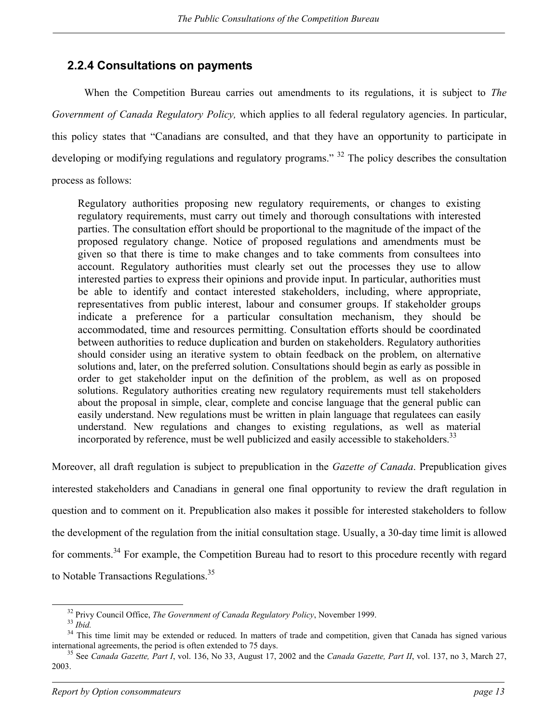### <span id="page-20-0"></span>**2.2.4 Consultations on payments**

When the Competition Bureau carries out amendments to its regulations, it is subject to *The Government of Canada Regulatory Policy,* which applies to all federal regulatory agencies. In particular, this policy states that "Canadians are consulted, and that they have an opportunity to participate in developing or modifying regulations and regulatory programs." <sup>[32](#page-20-1)</sup> The policy describes the consultation process as follows:

Regulatory authorities proposing new regulatory requirements, or changes to existing regulatory requirements, must carry out timely and thorough consultations with interested parties. The consultation effort should be proportional to the magnitude of the impact of the proposed regulatory change. Notice of proposed regulations and amendments must be given so that there is time to make changes and to take comments from consultees into account. Regulatory authorities must clearly set out the processes they use to allow interested parties to express their opinions and provide input. In particular, authorities must be able to identify and contact interested stakeholders, including, where appropriate, representatives from public interest, labour and consumer groups. If stakeholder groups indicate a preference for a particular consultation mechanism, they should be accommodated, time and resources permitting. Consultation efforts should be coordinated between authorities to reduce duplication and burden on stakeholders. Regulatory authorities should consider using an iterative system to obtain feedback on the problem, on alternative solutions and, later, on the preferred solution. Consultations should begin as early as possible in order to get stakeholder input on the definition of the problem, as well as on proposed solutions. Regulatory authorities creating new regulatory requirements must tell stakeholders about the proposal in simple, clear, complete and concise language that the general public can easily understand. New regulations must be written in plain language that regulatees can easily understand. New regulations and changes to existing regulations, as well as material incorporated by reference, must be well publicized and easily accessible to stakeholders.<sup>[33](#page-20-2)</sup>

Moreover, all draft regulation is subject to prepublication in the *Gazette of Canada*. Prepublication gives interested stakeholders and Canadians in general one final opportunity to review the draft regulation in question and to comment on it. Prepublication also makes it possible for interested stakeholders to follow the development of the regulation from the initial consultation stage. Usually, a 30-day time limit is allowed for comments.<sup>[34](#page-20-3)</sup> For example, the Competition Bureau had to resort to this procedure recently with regard to Notable Transactions Regulations.<sup>[35](#page-20-4)</sup>

<span id="page-20-1"></span>

<span id="page-20-3"></span><span id="page-20-2"></span>

<sup>&</sup>lt;sup>32</sup> Privy Council Office, *The Government of Canada Regulatory Policy*, November 1999.<br><sup>33</sup> *Ibid.*<br><sup>34</sup> This time limit may be extended or reduced. In matters of trade and competition, given that Canada has signed vario

<span id="page-20-4"></span><sup>&</sup>lt;sup>35</sup> See *Canada Gazette, Part I*, vol. 136, No 33, August 17, 2002 and the *Canada Gazette, Part II*, vol. 137, no 3, March 27, 2003.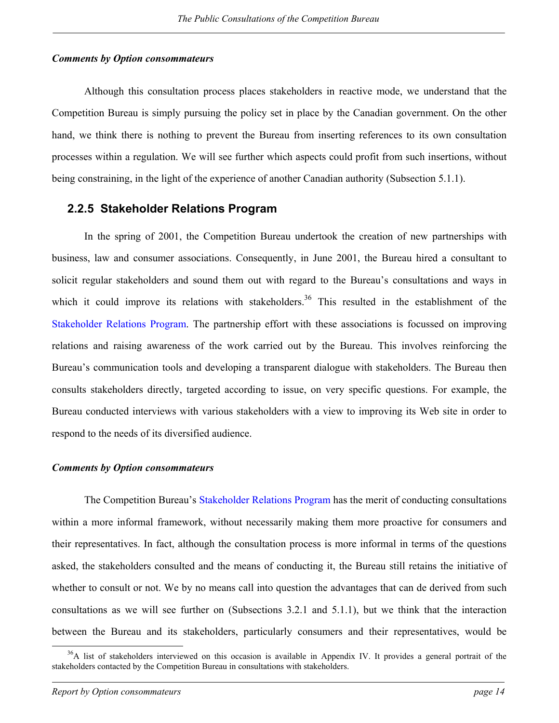#### <span id="page-21-0"></span>*Comments by Option consommateurs*

Although this consultation process places stakeholders in reactive mode, we understand that the Competition Bureau is simply pursuing the policy set in place by the Canadian government. On the other hand, we think there is nothing to prevent the Bureau from inserting references to its own consultation processes within a regulation. We will see further which aspects could profit from such insertions, without being constraining, in the light of the experience of another Canadian authority (Subsection 5.1.1).

### **2.2.5 Stakeholder Relations Program**

In the spring of 2001, the Competition Bureau undertook the creation of new partnerships with business, law and consumer associations. Consequently, in June 2001, the Bureau hired a consultant to solicit regular stakeholders and sound them out with regard to the Bureau's consultations and ways in which it could improve its relations with stakeholders.<sup>[36](#page-21-1)</sup> This resulted in the establishment of the Stakeholder Relations Program. The partnership effort with these associations is focussed on improving relations and raising awareness of the work carried out by the Bureau. This involves reinforcing the Bureau's communication tools and developing a transparent dialogue with stakeholders. The Bureau then consults stakeholders directly, targeted according to issue, on very specific questions. For example, the Bureau conducted interviews with various stakeholders with a view to improving its Web site in order to respond to the needs of its diversified audience.

#### *Comments by Option consommateurs*

The Competition Bureau's Stakeholder Relations Program has the merit of conducting consultations within a more informal framework, without necessarily making them more proactive for consumers and their representatives. In fact, although the consultation process is more informal in terms of the questions asked, the stakeholders consulted and the means of conducting it, the Bureau still retains the initiative of whether to consult or not. We by no means call into question the advantages that can de derived from such consultations as we will see further on (Subsections 3.2.1 and 5.1.1), but we think that the interaction between the Bureau and its stakeholders, particularly consumers and their representatives, would be

<span id="page-21-1"></span><sup>&</sup>lt;sup>36</sup>A list of stakeholders interviewed on this occasion is available in Appendix IV. It provides a general portrait of the stakeholders contacted by the Competition Bureau in consultations with stakeholders.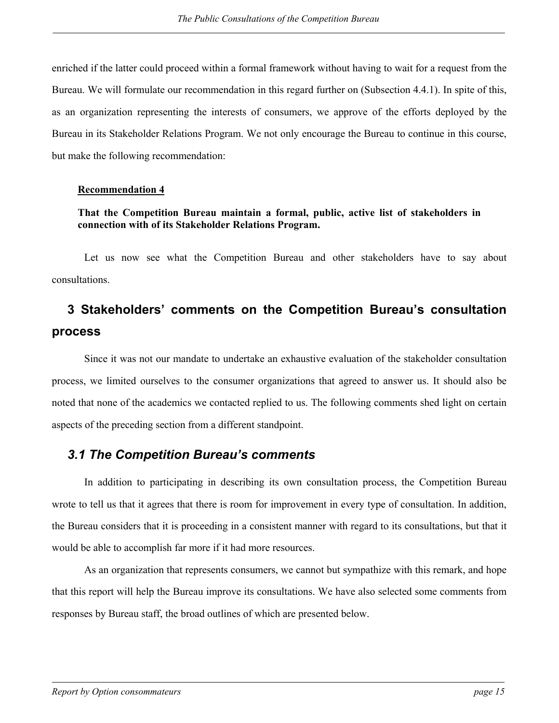<span id="page-22-0"></span>enriched if the latter could proceed within a formal framework without having to wait for a request from the Bureau. We will formulate our recommendation in this regard further on (Subsection 4.4.1). In spite of this, as an organization representing the interests of consumers, we approve of the efforts deployed by the Bureau in its Stakeholder Relations Program. We not only encourage the Bureau to continue in this course, but make the following recommendation:

#### **Recommendation 4**

### **That the Competition Bureau maintain a formal, public, active list of stakeholders in connection with of its Stakeholder Relations Program.**

Let us now see what the Competition Bureau and other stakeholders have to say about consultations.

# **3 Stakeholders' comments on the Competition Bureau's consultation process**

Since it was not our mandate to undertake an exhaustive evaluation of the stakeholder consultation process, we limited ourselves to the consumer organizations that agreed to answer us. It should also be noted that none of the academics we contacted replied to us. The following comments shed light on certain aspects of the preceding section from a different standpoint.

### *3.1 The Competition Bureau's comments*

In addition to participating in describing its own consultation process, the Competition Bureau wrote to tell us that it agrees that there is room for improvement in every type of consultation. In addition, the Bureau considers that it is proceeding in a consistent manner with regard to its consultations, but that it would be able to accomplish far more if it had more resources.

As an organization that represents consumers, we cannot but sympathize with this remark, and hope that this report will help the Bureau improve its consultations. We have also selected some comments from responses by Bureau staff, the broad outlines of which are presented below.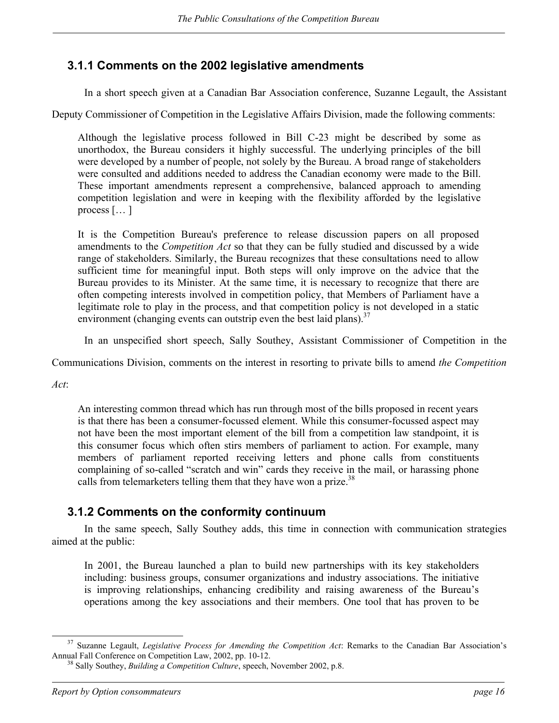## <span id="page-23-0"></span>**3.1.1 Comments on the 2002 legislative amendments**

In a short speech given at a Canadian Bar Association conference, Suzanne Legault, the Assistant

Deputy Commissioner of Competition in the Legislative Affairs Division, made the following comments:

Although the legislative process followed in Bill C-23 might be described by some as unorthodox, the Bureau considers it highly successful. The underlying principles of the bill were developed by a number of people, not solely by the Bureau. A broad range of stakeholders were consulted and additions needed to address the Canadian economy were made to the Bill. These important amendments represent a comprehensive, balanced approach to amending competition legislation and were in keeping with the flexibility afforded by the legislative process  $[\dots]$ 

It is the Competition Bureau's preference to release discussion papers on all proposed amendments to the *Competition Act* so that they can be fully studied and discussed by a wide range of stakeholders. Similarly, the Bureau recognizes that these consultations need to allow sufficient time for meaningful input. Both steps will only improve on the advice that the Bureau provides to its Minister. At the same time, it is necessary to recognize that there are often competing interests involved in competition policy, that Members of Parliament have a legitimate role to play in the process, and that competition policy is not developed in a static environment (changing events can outstrip even the best laid plans). $37$ 

In an unspecified short speech, Sally Southey, Assistant Commissioner of Competition in the

Communications Division, comments on the interest in resorting to private bills to amend *the Competition*

*Act*:

An interesting common thread which has run through most of the bills proposed in recent years is that there has been a consumer-focussed element. While this consumer-focussed aspect may not have been the most important element of the bill from a competition law standpoint, it is this consumer focus which often stirs members of parliament to action. For example, many members of parliament reported receiving letters and phone calls from constituents complaining of so-called "scratch and win" cards they receive in the mail, or harassing phone calls from telemarketers telling them that they have won a prize.<sup>[38](#page-23-2)</sup>

### **3.1.2 Comments on the conformity continuum**

In the same speech, Sally Southey adds, this time in connection with communication strategies aimed at the public:

In 2001, the Bureau launched a plan to build new partnerships with its key stakeholders including: business groups, consumer organizations and industry associations. The initiative is improving relationships, enhancing credibility and raising awareness of the Bureau's operations among the key associations and their members. One tool that has proven to be

<sup>&</sup>lt;sup>37</sup> Suzanne Legault, *Legislative Process for Amending the Competition Act*: Remarks to the Canadian Bar Association's Annual Fall Conference on Competition Law. 2002. pp. 10-12.

<span id="page-23-2"></span><span id="page-23-1"></span><sup>&</sup>lt;sup>38</sup> Sally Southey, *Building a Competition Culture*, speech, November 2002, p.8.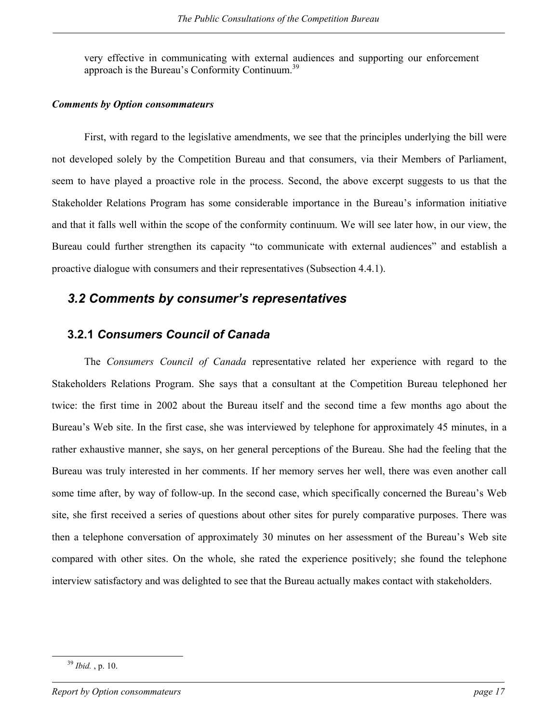<span id="page-24-0"></span>very effective in communicating with external audiences and supporting our enforcement approach is the Bureau's Conformity Continuum.<sup>[39](#page-24-1)</sup>

#### *Comments by Option consommateurs*

First, with regard to the legislative amendments, we see that the principles underlying the bill were not developed solely by the Competition Bureau and that consumers, via their Members of Parliament, seem to have played a proactive role in the process. Second, the above excerpt suggests to us that the Stakeholder Relations Program has some considerable importance in the Bureau's information initiative and that it falls well within the scope of the conformity continuum. We will see later how, in our view, the Bureau could further strengthen its capacity "to communicate with external audiences" and establish a proactive dialogue with consumers and their representatives (Subsection 4.4.1).

## *3.2 Comments by consumer's representatives*

### **3.2.1** *Consumers Council of Canada*

The *Consumers Council of Canada* representative related her experience with regard to the Stakeholders Relations Program. She says that a consultant at the Competition Bureau telephoned her twice: the first time in 2002 about the Bureau itself and the second time a few months ago about the Bureau's Web site. In the first case, she was interviewed by telephone for approximately 45 minutes, in a rather exhaustive manner, she says, on her general perceptions of the Bureau. She had the feeling that the Bureau was truly interested in her comments. If her memory serves her well, there was even another call some time after, by way of follow-up. In the second case, which specifically concerned the Bureau's Web site, she first received a series of questions about other sites for purely comparative purposes. There was then a telephone conversation of approximately 30 minutes on her assessment of the Bureau's Web site compared with other sites. On the whole, she rated the experience positively; she found the telephone interview satisfactory and was delighted to see that the Bureau actually makes contact with stakeholders.

<span id="page-24-1"></span> <sup>39</sup> *Ibid.* , p. 10.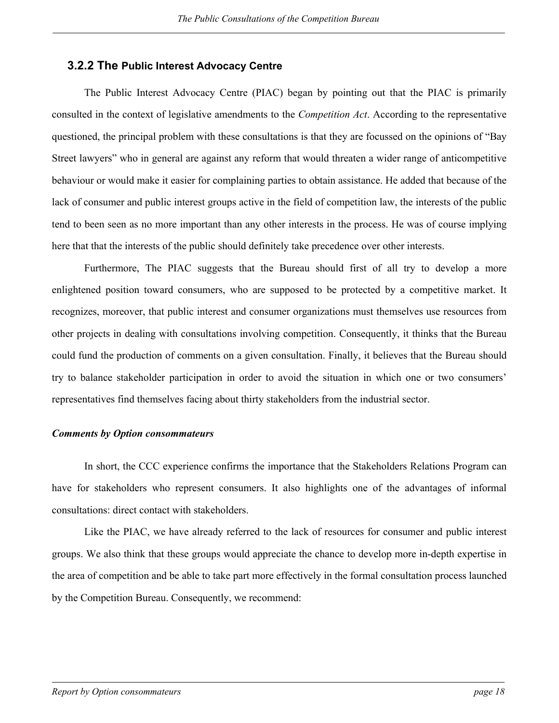### <span id="page-25-0"></span>**3.2.2 The Public Interest Advocacy Centre**

The Public Interest Advocacy Centre (PIAC) began by pointing out that the PIAC is primarily consulted in the context of legislative amendments to the *Competition Act*. According to the representative questioned, the principal problem with these consultations is that they are focussed on the opinions of "Bay Street lawyers" who in general are against any reform that would threaten a wider range of anticompetitive behaviour or would make it easier for complaining parties to obtain assistance. He added that because of the lack of consumer and public interest groups active in the field of competition law, the interests of the public tend to been seen as no more important than any other interests in the process. He was of course implying here that that the interests of the public should definitely take precedence over other interests.

Furthermore, The PIAC suggests that the Bureau should first of all try to develop a more enlightened position toward consumers, who are supposed to be protected by a competitive market. It recognizes, moreover, that public interest and consumer organizations must themselves use resources from other projects in dealing with consultations involving competition. Consequently, it thinks that the Bureau could fund the production of comments on a given consultation. Finally, it believes that the Bureau should try to balance stakeholder participation in order to avoid the situation in which one or two consumers' representatives find themselves facing about thirty stakeholders from the industrial sector.

#### *Comments by Option consommateurs*

In short, the CCC experience confirms the importance that the Stakeholders Relations Program can have for stakeholders who represent consumers. It also highlights one of the advantages of informal consultations: direct contact with stakeholders.

Like the PIAC, we have already referred to the lack of resources for consumer and public interest groups. We also think that these groups would appreciate the chance to develop more in-depth expertise in the area of competition and be able to take part more effectively in the formal consultation process launched by the Competition Bureau. Consequently, we recommend: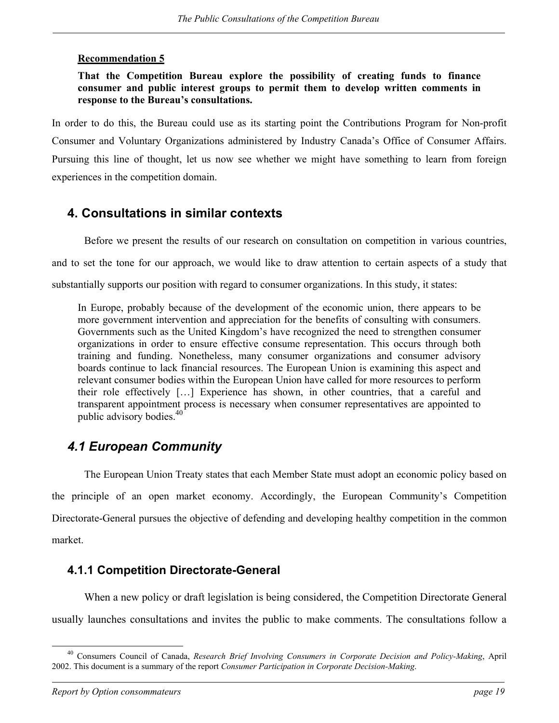### <span id="page-26-0"></span>**Recommendation 5**

### **That the Competition Bureau explore the possibility of creating funds to finance consumer and public interest groups to permit them to develop written comments in response to the Bureau's consultations.**

In order to do this, the Bureau could use as its starting point the Contributions Program for Non-profit Consumer and Voluntary Organizations administered by Industry Canada's Office of Consumer Affairs. Pursuing this line of thought, let us now see whether we might have something to learn from foreign experiences in the competition domain.

### **4. Consultations in similar contexts**

Before we present the results of our research on consultation on competition in various countries, and to set the tone for our approach, we would like to draw attention to certain aspects of a study that substantially supports our position with regard to consumer organizations. In this study, it states:

In Europe, probably because of the development of the economic union, there appears to be more government intervention and appreciation for the benefits of consulting with consumers. Governments such as the United Kingdom's have recognized the need to strengthen consumer organizations in order to ensure effective consume representation. This occurs through both training and funding. Nonetheless, many consumer organizations and consumer advisory boards continue to lack financial resources. The European Union is examining this aspect and relevant consumer bodies within the European Union have called for more resources to perform their role effectively […] Experience has shown, in other countries, that a careful and transparent appointment process is necessary when consumer representatives are appointed to public advisory bodies.<sup>[40](#page-26-1)</sup>

## *4.1 European Community*

The European Union Treaty states that each Member State must adopt an economic policy based on the principle of an open market economy. Accordingly, the European Community's Competition Directorate-General pursues the objective of defending and developing healthy competition in the common market.

### **4.1.1 Competition Directorate-General**

When a new policy or draft legislation is being considered, the Competition Directorate General usually launches consultations and invites the public to make comments. The consultations follow a

<span id="page-26-1"></span> <sup>40</sup> Consumers Council of Canada, *Research Brief Involving Consumers in Corporate Decision and Policy-Making*, April 2002. This document is a summary of the report *Consumer Participation in Corporate Decision-Making*.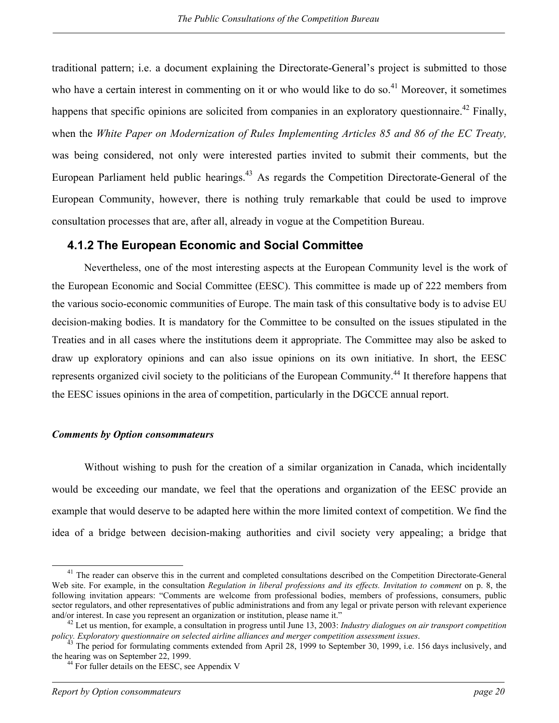<span id="page-27-0"></span>traditional pattern; i.e. a document explaining the Directorate-General's project is submitted to those who have a certain interest in commenting on it or who would like to do so.<sup>[41](#page-27-1)</sup> Moreover, it sometimes happens that specific opinions are solicited from companies in an exploratory questionnaire.<sup>[42](#page-27-2)</sup> Finally, when the *White Paper on Modernization of Rules Implementing Articles 85 and 86 of the EC Treaty,* was being considered, not only were interested parties invited to submit their comments, but the European Parliament held public hearings.<sup>[43](#page-27-3)</sup> As regards the Competition Directorate-General of the European Community, however, there is nothing truly remarkable that could be used to improve consultation processes that are, after all, already in vogue at the Competition Bureau.

### **4.1.2 The European Economic and Social Committee**

Nevertheless, one of the most interesting aspects at the European Community level is the work of the European Economic and Social Committee (EESC). This committee is made up of 222 members from the various socio-economic communities of Europe. The main task of this consultative body is to advise EU decision-making bodies. It is mandatory for the Committee to be consulted on the issues stipulated in the Treaties and in all cases where the institutions deem it appropriate. The Committee may also be asked to draw up exploratory opinions and can also issue opinions on its own initiative. In short, the EESC represents organized civil society to the politicians of the European Community.<sup>44</sup> It therefore happens that the EESC issues opinions in the area of competition, particularly in the DGCCE annual report.

#### *Comments by Option consommateurs*

Without wishing to push for the creation of a similar organization in Canada, which incidentally would be exceeding our mandate, we feel that the operations and organization of the EESC provide an example that would deserve to be adapted here within the more limited context of competition. We find the idea of a bridge between decision-making authorities and civil society very appealing; a bridge that

<span id="page-27-1"></span><sup>&</sup>lt;sup>41</sup> The reader can observe this in the current and completed consultations described on the Competition Directorate-General Web site. For example, in the consultation *Regulation in liberal professions and its effects. Invitation to comment* on p. 8, the following invitation appears: "Comments are welcome from professional bodies, members of professions, consumers, public sector regulators, and other representatives of public administrations and from any legal or private person with relevant experience

<span id="page-27-2"></span>and/or interest. In case you represent an organization or institution, please name it."<br><sup>42</sup> Let us mention, for example, a consultation in progress until June 13, 2003: *Industry dialogues on air transport competition*<br>po

<sup>&</sup>lt;sup>43</sup> The period for formulating comments extended from April 28, 1999 to September 30, 1999, i.e. 156 days inclusively, and the hearing was on September 22, 1999.

<span id="page-27-4"></span><span id="page-27-3"></span> $44$  For fuller details on the EESC, see Appendix V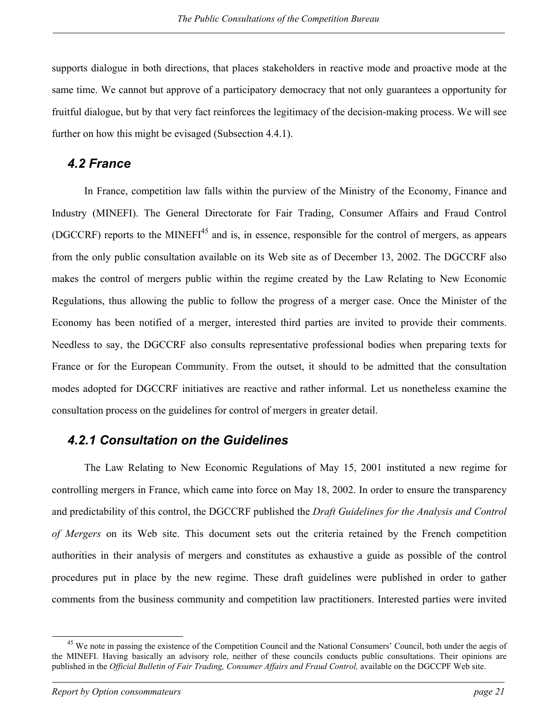<span id="page-28-0"></span>supports dialogue in both directions, that places stakeholders in reactive mode and proactive mode at the same time. We cannot but approve of a participatory democracy that not only guarantees a opportunity for fruitful dialogue, but by that very fact reinforces the legitimacy of the decision-making process. We will see further on how this might be evisaged (Subsection 4.4.1).

### *4.2 France*

In France, competition law falls within the purview of the Ministry of the Economy, Finance and Industry (MINEFI). The General Directorate for Fair Trading, Consumer Affairs and Fraud Control (DGCCRF) reports to the MINEFI<sup>[45](#page-28-1)</sup> and is, in essence, responsible for the control of mergers, as appears from the only public consultation available on its Web site as of December 13, 2002. The DGCCRF also makes the control of mergers public within the regime created by the Law Relating to New Economic Regulations, thus allowing the public to follow the progress of a merger case. Once the Minister of the Economy has been notified of a merger, interested third parties are invited to provide their comments. Needless to say, the DGCCRF also consults representative professional bodies when preparing texts for France or for the European Community. From the outset, it should to be admitted that the consultation modes adopted for DGCCRF initiatives are reactive and rather informal. Let us nonetheless examine the consultation process on the guidelines for control of mergers in greater detail.

### *4.2.1 Consultation on the Guidelines*

The Law Relating to New Economic Regulations of May 15, 2001 instituted a new regime for controlling mergers in France, which came into force on May 18, 2002. In order to ensure the transparency and predictability of this control, the DGCCRF published the *Draft Guidelines for the Analysis and Control of Mergers* on its Web site. This document sets out the criteria retained by the French competition authorities in their analysis of mergers and constitutes as exhaustive a guide as possible of the control procedures put in place by the new regime. These draft guidelines were published in order to gather comments from the business community and competition law practitioners. Interested parties were invited

<span id="page-28-1"></span><sup>&</sup>lt;sup>45</sup> We note in passing the existence of the Competition Council and the National Consumers' Council, both under the aegis of the MINEFI. Having basically an advisory role, neither of these councils conducts public consultations. Their opinions are published in the *Official Bulletin of Fair Trading, Consumer Affairs and Fraud Control,* available on the DGCCPF Web site.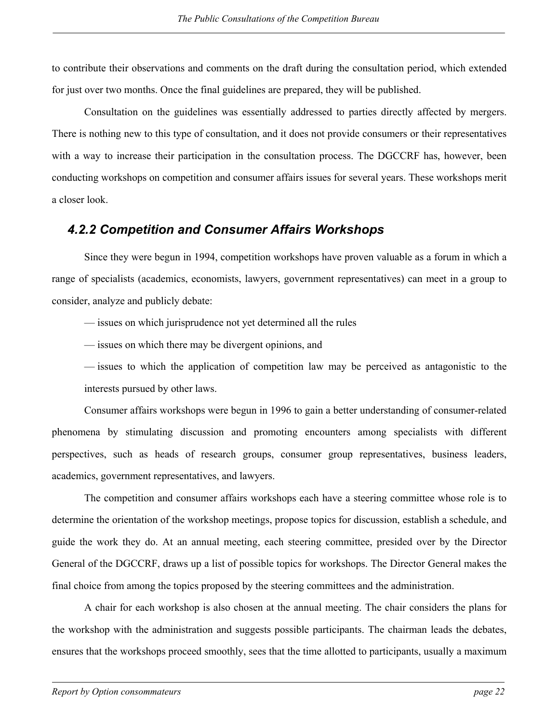<span id="page-29-0"></span>to contribute their observations and comments on the draft during the consultation period, which extended for just over two months. Once the final guidelines are prepared, they will be published.

Consultation on the guidelines was essentially addressed to parties directly affected by mergers. There is nothing new to this type of consultation, and it does not provide consumers or their representatives with a way to increase their participation in the consultation process. The DGCCRF has, however, been conducting workshops on competition and consumer affairs issues for several years. These workshops merit a closer look.

## *4.2.2 Competition and Consumer Affairs Workshops*

Since they were begun in 1994, competition workshops have proven valuable as a forum in which a range of specialists (academics, economists, lawyers, government representatives) can meet in a group to consider, analyze and publicly debate:

— issues on which jurisprudence not yet determined all the rules

— issues on which there may be divergent opinions, and

— issues to which the application of competition law may be perceived as antagonistic to the interests pursued by other laws.

Consumer affairs workshops were begun in 1996 to gain a better understanding of consumer-related phenomena by stimulating discussion and promoting encounters among specialists with different perspectives, such as heads of research groups, consumer group representatives, business leaders, academics, government representatives, and lawyers.

The competition and consumer affairs workshops each have a steering committee whose role is to determine the orientation of the workshop meetings, propose topics for discussion, establish a schedule, and guide the work they do. At an annual meeting, each steering committee, presided over by the Director General of the DGCCRF, draws up a list of possible topics for workshops. The Director General makes the final choice from among the topics proposed by the steering committees and the administration.

A chair for each workshop is also chosen at the annual meeting. The chair considers the plans for the workshop with the administration and suggests possible participants. The chairman leads the debates, ensures that the workshops proceed smoothly, sees that the time allotted to participants, usually a maximum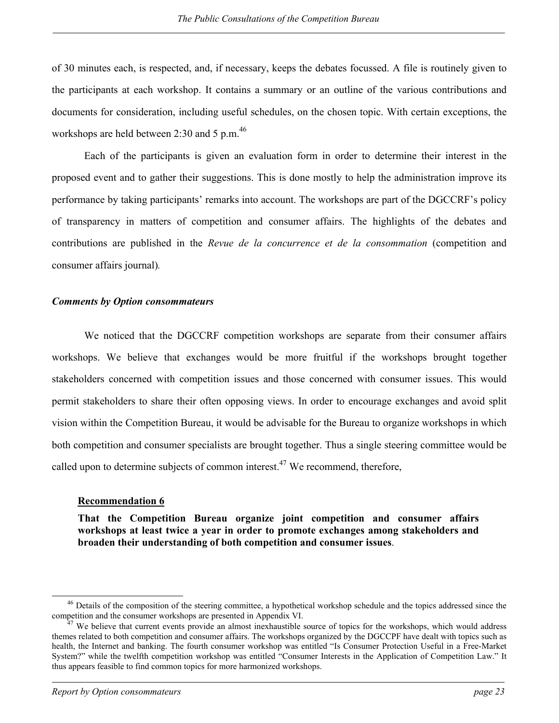of 30 minutes each, is respected, and, if necessary, keeps the debates focussed. A file is routinely given to the participants at each workshop. It contains a summary or an outline of the various contributions and documents for consideration, including useful schedules, on the chosen topic. With certain exceptions, the workshops are held between 2:30 and 5 p.m.<sup>[46](#page-30-0)</sup>

Each of the participants is given an evaluation form in order to determine their interest in the proposed event and to gather their suggestions. This is done mostly to help the administration improve its performance by taking participants' remarks into account. The workshops are part of the DGCCRF's policy of transparency in matters of competition and consumer affairs. The highlights of the debates and contributions are published in the *Revue de la concurrence et de la consommation* (competition and consumer affairs journal)*.* 

#### *Comments by Option consommateurs*

We noticed that the DGCCRF competition workshops are separate from their consumer affairs workshops. We believe that exchanges would be more fruitful if the workshops brought together stakeholders concerned with competition issues and those concerned with consumer issues. This would permit stakeholders to share their often opposing views. In order to encourage exchanges and avoid split vision within the Competition Bureau, it would be advisable for the Bureau to organize workshops in which both competition and consumer specialists are brought together. Thus a single steering committee would be called upon to determine subjects of common interest.<sup>[47](#page-30-1)</sup> We recommend, therefore,

#### **Recommendation 6**

**That the Competition Bureau organize joint competition and consumer affairs workshops at least twice a year in order to promote exchanges among stakeholders and broaden their understanding of both competition and consumer issues**.

<span id="page-30-0"></span><sup>&</sup>lt;sup>46</sup> Details of the composition of the steering committee, a hypothetical workshop schedule and the topics addressed since the competition and the consumer workshops are presented in Appendix VI.<br><sup>47</sup> We believe that current events provide an almost inexhaustible source of topics for the workshops, which would address

<span id="page-30-1"></span>themes related to both competition and consumer affairs. The workshops organized by the DGCCPF have dealt with topics such as health, the Internet and banking. The fourth consumer workshop was entitled "Is Consumer Protection Useful in a Free-Market System?" while the twelfth competition workshop was entitled "Consumer Interests in the Application of Competition Law." It thus appears feasible to find common topics for more harmonized workshops.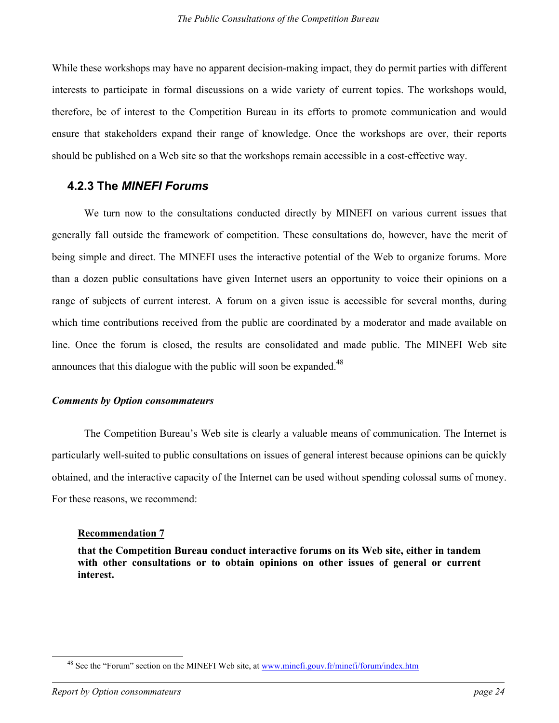<span id="page-31-0"></span>While these workshops may have no apparent decision-making impact, they do permit parties with different interests to participate in formal discussions on a wide variety of current topics. The workshops would, therefore, be of interest to the Competition Bureau in its efforts to promote communication and would ensure that stakeholders expand their range of knowledge. Once the workshops are over, their reports should be published on a Web site so that the workshops remain accessible in a cost-effective way.

### **4.2.3 The** *MINEFI Forums*

We turn now to the consultations conducted directly by MINEFI on various current issues that generally fall outside the framework of competition. These consultations do, however, have the merit of being simple and direct. The MINEFI uses the interactive potential of the Web to organize forums. More than a dozen public consultations have given Internet users an opportunity to voice their opinions on a range of subjects of current interest. A forum on a given issue is accessible for several months, during which time contributions received from the public are coordinated by a moderator and made available on line. Once the forum is closed, the results are consolidated and made public. The MINEFI Web site announces that this dialogue with the public will soon be expanded.<sup>[48](#page-31-1)</sup>

### *Comments by Option consommateurs*

The Competition Bureau's Web site is clearly a valuable means of communication. The Internet is particularly well-suited to public consultations on issues of general interest because opinions can be quickly obtained, and the interactive capacity of the Internet can be used without spending colossal sums of money. For these reasons, we recommend:

#### **Recommendation 7**

**that the Competition Bureau conduct interactive forums on its Web site, either in tandem with other consultations or to obtain opinions on other issues of general or current interest.** 

<span id="page-31-1"></span><sup>&</sup>lt;sup>48</sup> See the "Forum" section on the MINEFI Web site, at www.minefi.gouv.fr/minefi/forum/index.htm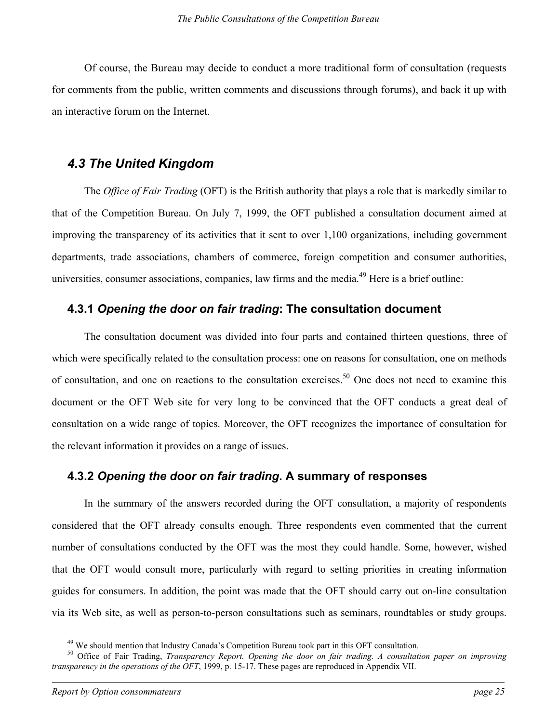<span id="page-32-0"></span>Of course, the Bureau may decide to conduct a more traditional form of consultation (requests for comments from the public, written comments and discussions through forums), and back it up with an interactive forum on the Internet.

### *4.3 The United Kingdom*

The *Office of Fair Trading* (OFT) is the British authority that plays a role that is markedly similar to that of the Competition Bureau. On July 7, 1999, the OFT published a consultation document aimed at improving the transparency of its activities that it sent to over 1,100 organizations, including government departments, trade associations, chambers of commerce, foreign competition and consumer authorities, universities, consumer associations, companies, law firms and the media.<sup>[49](#page-32-1)</sup> Here is a brief outline:

### **4.3.1** *Opening the door on fair trading***: The consultation document**

The consultation document was divided into four parts and contained thirteen questions, three of which were specifically related to the consultation process: one on reasons for consultation, one on methods of consultation, and one on reactions to the consultation exercises.[50](#page-32-2) One does not need to examine this document or the OFT Web site for very long to be convinced that the OFT conducts a great deal of consultation on a wide range of topics. Moreover, the OFT recognizes the importance of consultation for the relevant information it provides on a range of issues.

### **4.3.2** *Opening the door on fair trading***. A summary of responses**

In the summary of the answers recorded during the OFT consultation, a majority of respondents considered that the OFT already consults enough. Three respondents even commented that the current number of consultations conducted by the OFT was the most they could handle. Some, however, wished that the OFT would consult more, particularly with regard to setting priorities in creating information guides for consumers. In addition, the point was made that the OFT should carry out on-line consultation via its Web site, as well as person-to-person consultations such as seminars, roundtables or study groups.

<span id="page-32-2"></span><span id="page-32-1"></span>

<sup>&</sup>lt;sup>49</sup> We should mention that Industry Canada's Competition Bureau took part in this OFT consultation.<br><sup>50</sup> Office of Fair Trading, *Transparency Report. Opening the door on fair trading. A consultation paper on improving transparency in the operations of the OFT*, 1999, p. 15-17. These pages are reproduced in Appendix VII.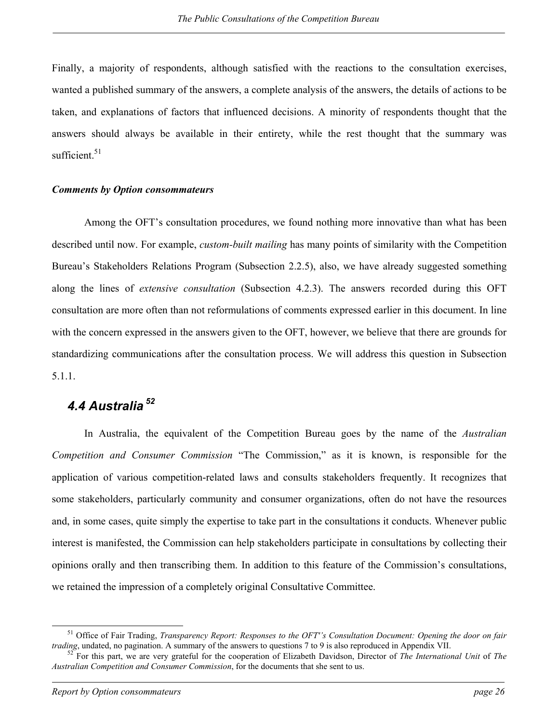<span id="page-33-0"></span>Finally, a majority of respondents, although satisfied with the reactions to the consultation exercises, wanted a published summary of the answers, a complete analysis of the answers, the details of actions to be taken, and explanations of factors that influenced decisions. A minority of respondents thought that the answers should always be available in their entirety, while the rest thought that the summary was sufficient. $51$ 

#### *Comments by Option consommateurs*

Among the OFT's consultation procedures, we found nothing more innovative than what has been described until now. For example, *custom-built mailing* has many points of similarity with the Competition Bureau's Stakeholders Relations Program (Subsection 2.2.5), also, we have already suggested something along the lines of *extensive consultation* (Subsection 4.2.3). The answers recorded during this OFT consultation are more often than not reformulations of comments expressed earlier in this document. In line with the concern expressed in the answers given to the OFT, however, we believe that there are grounds for standardizing communications after the consultation process. We will address this question in Subsection 5.1.1.

## *4.4 Australia [52](#page-33-2)*

In Australia, the equivalent of the Competition Bureau goes by the name of the *Australian Competition and Consumer Commission* "The Commission," as it is known, is responsible for the application of various competition-related laws and consults stakeholders frequently. It recognizes that some stakeholders, particularly community and consumer organizations, often do not have the resources and, in some cases, quite simply the expertise to take part in the consultations it conducts. Whenever public interest is manifested, the Commission can help stakeholders participate in consultations by collecting their opinions orally and then transcribing them. In addition to this feature of the Commission's consultations, we retained the impression of a completely original Consultative Committee.

<span id="page-33-1"></span> $51$  Office of Fair Trading, *Transparency Report: Responses to the OFT's Consultation Document: Opening the door on fair trading*, undated, no pagination. A summary of the answers to questions 7 to 9 is also reproduced

<span id="page-33-2"></span> $52$  For this part, we are very grateful for the cooperation of Elizabeth Davidson, Director of The International Unit of The *Australian Competition and Consumer Commission*, for the documents that she sent to us.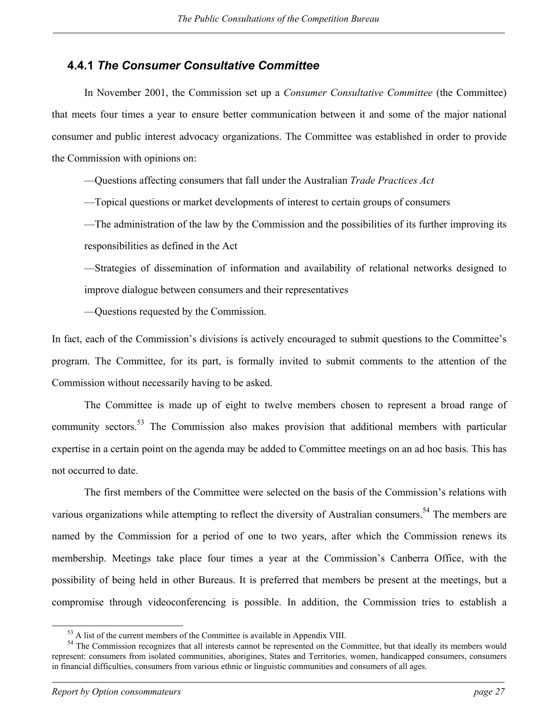### <span id="page-34-0"></span>**4.4.1** *The Consumer Consultative Committee*

In November 2001, the Commission set up a *Consumer Consultative Committee* (the Committee) that meets four times a year to ensure better communication between it and some of the major national consumer and public interest advocacy organizations. The Committee was established in order to provide the Commission with opinions on:

—Questions affecting consumers that fall under the Australian *Trade Practices Act*

—Topical questions or market developments of interest to certain groups of consumers

—The administration of the law by the Commission and the possibilities of its further improving its responsibilities as defined in the Act

—Strategies of dissemination of information and availability of relational networks designed to improve dialogue between consumers and their representatives

—Questions requested by the Commission.

In fact, each of the Commission's divisions is actively encouraged to submit questions to the Committee's program. The Committee, for its part, is formally invited to submit comments to the attention of the Commission without necessarily having to be asked.

The Committee is made up of eight to twelve members chosen to represent a broad range of community sectors.<sup>[53](#page-34-1)</sup> The Commission also makes provision that additional members with particular expertise in a certain point on the agenda may be added to Committee meetings on an ad hoc basis. This has not occurred to date.

The first members of the Committee were selected on the basis of the Commission's relations with various organizations while attempting to reflect the diversity of Australian consumers.<sup>[54](#page-34-2)</sup> The members are named by the Commission for a period of one to two years, after which the Commission renews its membership. Meetings take place four times a year at the Commission's Canberra Office, with the possibility of being held in other Bureaus. It is preferred that members be present at the meetings, but a compromise through videoconferencing is possible. In addition, the Commission tries to establish a

<span id="page-34-2"></span><span id="page-34-1"></span>

 $53$  A list of the current members of the Committee is available in Appendix VIII.<br> $54$  The Commission recognizes that all interests cannot be represented on the Committee, but that ideally its members would represent: consumers from isolated communities, aborigines, States and Territories, women, handicapped consumers, consumers in financial difficulties, consumers from various ethnic or linguistic communities and consumers of all ages.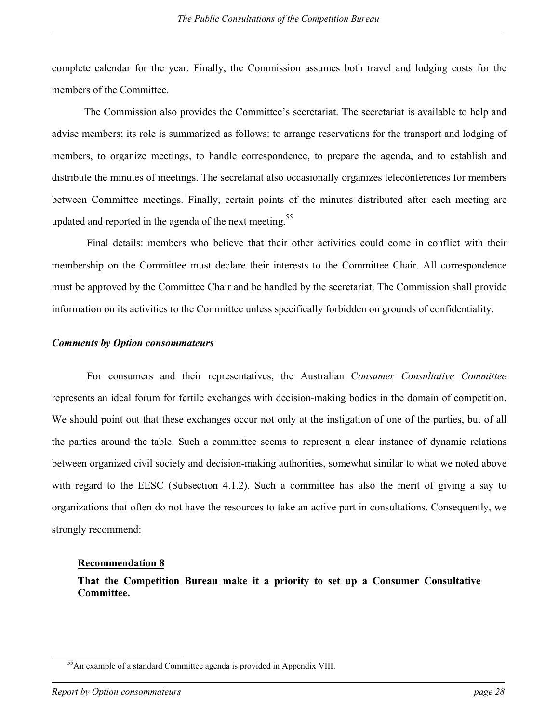complete calendar for the year. Finally, the Commission assumes both travel and lodging costs for the members of the Committee.

The Commission also provides the Committee's secretariat. The secretariat is available to help and advise members; its role is summarized as follows: to arrange reservations for the transport and lodging of members, to organize meetings, to handle correspondence, to prepare the agenda, and to establish and distribute the minutes of meetings. The secretariat also occasionally organizes teleconferences for members between Committee meetings. Finally, certain points of the minutes distributed after each meeting are updated and reported in the agenda of the next meeting.<sup>[55](#page-35-0)</sup>

Final details: members who believe that their other activities could come in conflict with their membership on the Committee must declare their interests to the Committee Chair. All correspondence must be approved by the Committee Chair and be handled by the secretariat. The Commission shall provide information on its activities to the Committee unless specifically forbidden on grounds of confidentiality.

#### *Comments by Option consommateurs*

For consumers and their representatives, the Australian C*onsumer Consultative Committee* represents an ideal forum for fertile exchanges with decision-making bodies in the domain of competition. We should point out that these exchanges occur not only at the instigation of one of the parties, but of all the parties around the table. Such a committee seems to represent a clear instance of dynamic relations between organized civil society and decision-making authorities, somewhat similar to what we noted above with regard to the EESC (Subsection 4.1.2). Such a committee has also the merit of giving a say to organizations that often do not have the resources to take an active part in consultations. Consequently, we strongly recommend:

#### **Recommendation 8**

**That the Competition Bureau make it a priority to set up a Consumer Consultative Committee.** 

#### *Report by Option consommateurs page 28*

<span id="page-35-0"></span><sup>&</sup>lt;sup>55</sup>An example of a standard Committee agenda is provided in Appendix VIII.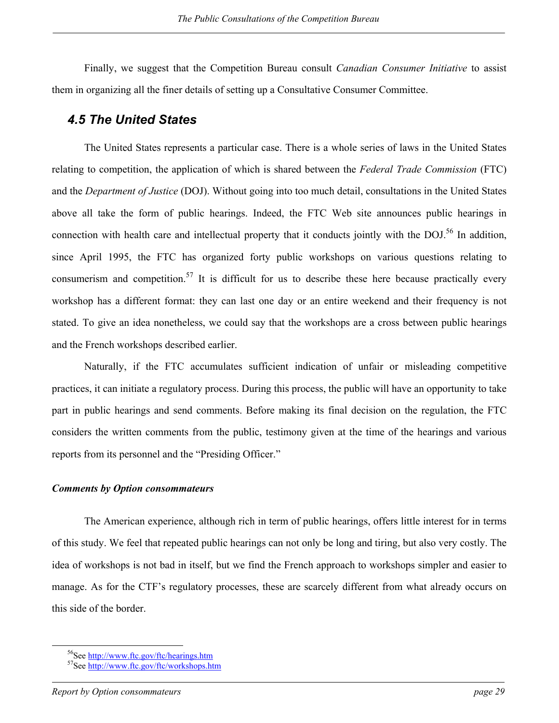<span id="page-36-0"></span>Finally, we suggest that the Competition Bureau consult *Canadian Consumer Initiative* to assist them in organizing all the finer details of setting up a Consultative Consumer Committee.

### *4.5 The United States*

The United States represents a particular case. There is a whole series of laws in the United States relating to competition, the application of which is shared between the *Federal Trade Commission* (FTC) and the *Department of Justice* (DOJ). Without going into too much detail, consultations in the United States above all take the form of public hearings. Indeed, the FTC Web site announces public hearings in connection with health care and intellectual property that it conducts jointly with the DOJ.<sup>[56](#page-36-1)</sup> In addition, since April 1995, the FTC has organized forty public workshops on various questions relating to consumerism and competition.<sup>[57](#page-36-2)</sup> It is difficult for us to describe these here because practically every workshop has a different format: they can last one day or an entire weekend and their frequency is not stated. To give an idea nonetheless, we could say that the workshops are a cross between public hearings and the French workshops described earlier.

Naturally, if the FTC accumulates sufficient indication of unfair or misleading competitive practices, it can initiate a regulatory process. During this process, the public will have an opportunity to take part in public hearings and send comments. Before making its final decision on the regulation, the FTC considers the written comments from the public, testimony given at the time of the hearings and various reports from its personnel and the "Presiding Officer."

#### *Comments by Option consommateurs*

The American experience, although rich in term of public hearings, offers little interest for in terms of this study. We feel that repeated public hearings can not only be long and tiring, but also very costly. The idea of workshops is not bad in itself, but we find the French approach to workshops simpler and easier to manage. As for the CTF's regulatory processes, these are scarcely different from what already occurs on this side of the border.

<span id="page-36-2"></span><span id="page-36-1"></span>

 $^{56}$ See http://www.ftc.gov/ftc/hearings.htm  $^{57}$ See http://www.ftc.gov/ftc/workshops.htm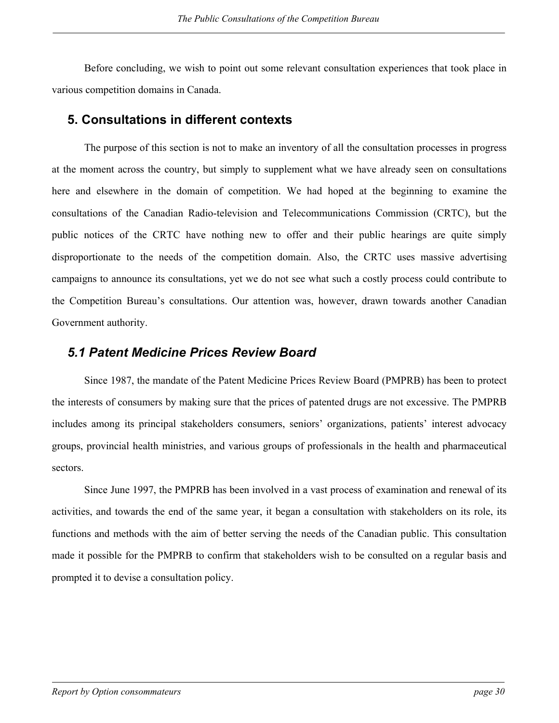<span id="page-37-0"></span>Before concluding, we wish to point out some relevant consultation experiences that took place in various competition domains in Canada.

### **5. Consultations in different contexts**

The purpose of this section is not to make an inventory of all the consultation processes in progress at the moment across the country, but simply to supplement what we have already seen on consultations here and elsewhere in the domain of competition. We had hoped at the beginning to examine the consultations of the Canadian Radio-television and Telecommunications Commission (CRTC), but the public notices of the CRTC have nothing new to offer and their public hearings are quite simply disproportionate to the needs of the competition domain. Also, the CRTC uses massive advertising campaigns to announce its consultations, yet we do not see what such a costly process could contribute to the Competition Bureau's consultations. Our attention was, however, drawn towards another Canadian Government authority.

### *5.1 Patent Medicine Prices Review Board*

Since 1987, the mandate of the Patent Medicine Prices Review Board (PMPRB) has been to protect the interests of consumers by making sure that the prices of patented drugs are not excessive. The PMPRB includes among its principal stakeholders consumers, seniors' organizations, patients' interest advocacy groups, provincial health ministries, and various groups of professionals in the health and pharmaceutical sectors.

Since June 1997, the PMPRB has been involved in a vast process of examination and renewal of its activities, and towards the end of the same year, it began a consultation with stakeholders on its role, its functions and methods with the aim of better serving the needs of the Canadian public. This consultation made it possible for the PMPRB to confirm that stakeholders wish to be consulted on a regular basis and prompted it to devise a consultation policy.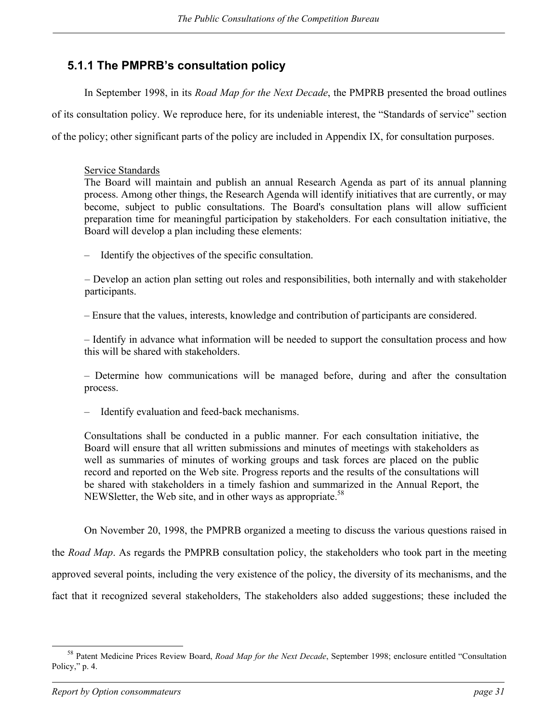## <span id="page-38-0"></span>**5.1.1 The PMPRB's consultation policy**

In September 1998, in its *Road Map for the Next Decade*, the PMPRB presented the broad outlines of its consultation policy. We reproduce here, for its undeniable interest, the "Standards of service" section of the policy; other significant parts of the policy are included in Appendix IX, for consultation purposes.

### Service Standards

The Board will maintain and publish an annual Research Agenda as part of its annual planning process. Among other things, the Research Agenda will identify initiatives that are currently, or may become, subject to public consultations. The Board's consultation plans will allow sufficient preparation time for meaningful participation by stakeholders. For each consultation initiative, the Board will develop a plan including these elements:

– Identify the objectives of the specific consultation.

– Develop an action plan setting out roles and responsibilities, both internally and with stakeholder participants.

– Ensure that the values, interests, knowledge and contribution of participants are considered.

– Identify in advance what information will be needed to support the consultation process and how this will be shared with stakeholders.

– Determine how communications will be managed before, during and after the consultation process.

– Identify evaluation and feed-back mechanisms.

Consultations shall be conducted in a public manner. For each consultation initiative, the Board will ensure that all written submissions and minutes of meetings with stakeholders as well as summaries of minutes of working groups and task forces are placed on the public record and reported on the Web site. Progress reports and the results of the consultations will be shared with stakeholders in a timely fashion and summarized in the Annual Report, the NEWS letter, the Web site, and in other ways as appropriate.<sup>[58](#page-38-1)</sup>

On November 20, 1998, the PMPRB organized a meeting to discuss the various questions raised in the *Road Map*. As regards the PMPRB consultation policy, the stakeholders who took part in the meeting approved several points, including the very existence of the policy, the diversity of its mechanisms, and the fact that it recognized several stakeholders, The stakeholders also added suggestions; these included the

<span id="page-38-1"></span> <sup>58</sup> Patent Medicine Prices Review Board, *Road Map for the Next Decade*, September 1998; enclosure entitled "Consultation Policy," p. 4.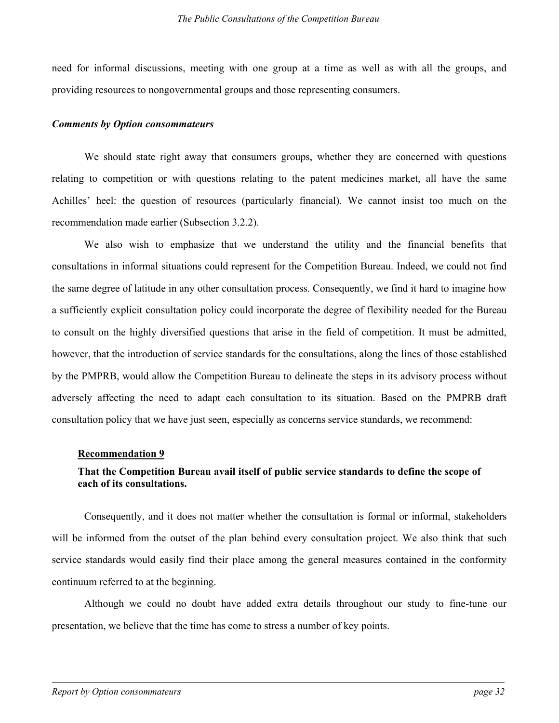need for informal discussions, meeting with one group at a time as well as with all the groups, and providing resources to nongovernmental groups and those representing consumers.

### *Comments by Option consommateurs*

We should state right away that consumers groups, whether they are concerned with questions relating to competition or with questions relating to the patent medicines market, all have the same Achilles' heel: the question of resources (particularly financial). We cannot insist too much on the recommendation made earlier (Subsection 3.2.2).

We also wish to emphasize that we understand the utility and the financial benefits that consultations in informal situations could represent for the Competition Bureau. Indeed, we could not find the same degree of latitude in any other consultation process. Consequently, we find it hard to imagine how a sufficiently explicit consultation policy could incorporate the degree of flexibility needed for the Bureau to consult on the highly diversified questions that arise in the field of competition. It must be admitted, however, that the introduction of service standards for the consultations, along the lines of those established by the PMPRB, would allow the Competition Bureau to delineate the steps in its advisory process without adversely affecting the need to adapt each consultation to its situation. Based on the PMPRB draft consultation policy that we have just seen, especially as concerns service standards, we recommend:

### **Recommendation 9**

### **That the Competition Bureau avail itself of public service standards to define the scope of each of its consultations.**

Consequently, and it does not matter whether the consultation is formal or informal, stakeholders will be informed from the outset of the plan behind every consultation project. We also think that such service standards would easily find their place among the general measures contained in the conformity continuum referred to at the beginning.

Although we could no doubt have added extra details throughout our study to fine-tune our presentation, we believe that the time has come to stress a number of key points.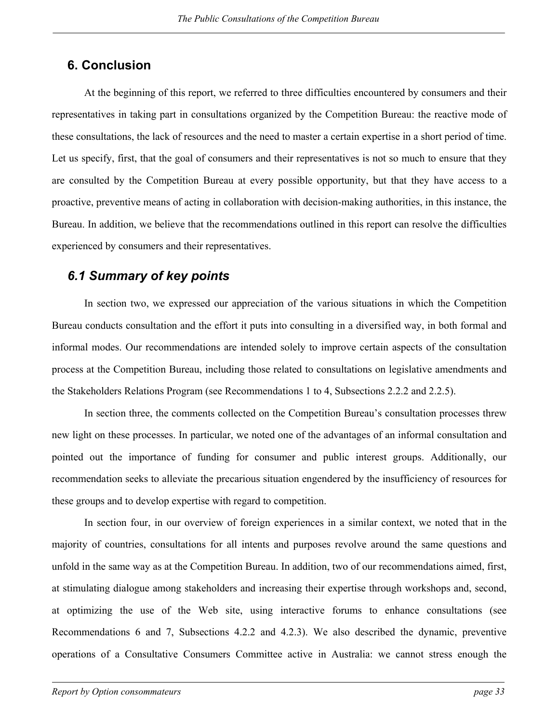## <span id="page-40-0"></span>**6. Conclusion**

At the beginning of this report, we referred to three difficulties encountered by consumers and their representatives in taking part in consultations organized by the Competition Bureau: the reactive mode of these consultations, the lack of resources and the need to master a certain expertise in a short period of time. Let us specify, first, that the goal of consumers and their representatives is not so much to ensure that they are consulted by the Competition Bureau at every possible opportunity, but that they have access to a proactive, preventive means of acting in collaboration with decision-making authorities, in this instance, the Bureau. In addition, we believe that the recommendations outlined in this report can resolve the difficulties experienced by consumers and their representatives.

## *6.1 Summary of key points*

In section two, we expressed our appreciation of the various situations in which the Competition Bureau conducts consultation and the effort it puts into consulting in a diversified way, in both formal and informal modes. Our recommendations are intended solely to improve certain aspects of the consultation process at the Competition Bureau, including those related to consultations on legislative amendments and the Stakeholders Relations Program (see Recommendations 1 to 4, Subsections 2.2.2 and 2.2.5).

In section three, the comments collected on the Competition Bureau's consultation processes threw new light on these processes. In particular, we noted one of the advantages of an informal consultation and pointed out the importance of funding for consumer and public interest groups. Additionally, our recommendation seeks to alleviate the precarious situation engendered by the insufficiency of resources for these groups and to develop expertise with regard to competition.

In section four, in our overview of foreign experiences in a similar context, we noted that in the majority of countries, consultations for all intents and purposes revolve around the same questions and unfold in the same way as at the Competition Bureau. In addition, two of our recommendations aimed, first, at stimulating dialogue among stakeholders and increasing their expertise through workshops and, second, at optimizing the use of the Web site, using interactive forums to enhance consultations (see Recommendations 6 and 7, Subsections 4.2.2 and 4.2.3). We also described the dynamic, preventive operations of a Consultative Consumers Committee active in Australia: we cannot stress enough the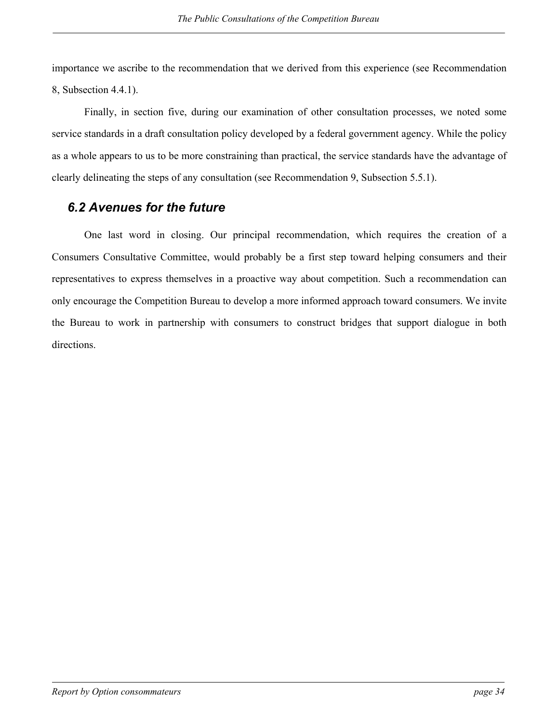<span id="page-41-0"></span>importance we ascribe to the recommendation that we derived from this experience (see Recommendation 8, Subsection 4.4.1).

Finally, in section five, during our examination of other consultation processes, we noted some service standards in a draft consultation policy developed by a federal government agency. While the policy as a whole appears to us to be more constraining than practical, the service standards have the advantage of clearly delineating the steps of any consultation (see Recommendation 9, Subsection 5.5.1).

## *6.2 Avenues for the future*

One last word in closing. Our principal recommendation, which requires the creation of a Consumers Consultative Committee, would probably be a first step toward helping consumers and their representatives to express themselves in a proactive way about competition. Such a recommendation can only encourage the Competition Bureau to develop a more informed approach toward consumers. We invite the Bureau to work in partnership with consumers to construct bridges that support dialogue in both directions.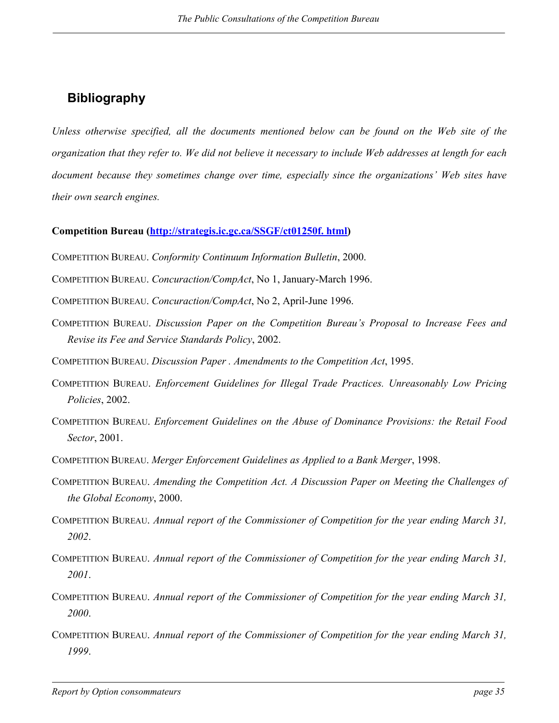## <span id="page-42-0"></span>**Bibliography**

*Unless otherwise specified, all the documents mentioned below can be found on the Web site of the organization that they refer to. We did not believe it necessary to include Web addresses at length for each document because they sometimes change over time, especially since the organizations' Web sites have their own search engines.* 

### **Competition Bureau (http://strategis.ic.gc.ca/SSGF/ct01250f. html)**

- COMPETITION BUREAU. *Conformity Continuum Information Bulletin*, 2000.
- COMPETITION BUREAU. *Concuraction/CompAct*, No 1, January-March 1996.
- COMPETITION BUREAU. *Concuraction/CompAct*, No 2, April-June 1996.
- COMPETITION BUREAU. *Discussion Paper on the Competition Bureau's Proposal to Increase Fees and Revise its Fee and Service Standards Policy*, 2002.
- COMPETITION BUREAU. *Discussion Paper . Amendments to the Competition Act*, 1995.
- COMPETITION BUREAU. *Enforcement Guidelines for Illegal Trade Practices. Unreasonably Low Pricing Policies*, 2002.
- COMPETITION BUREAU. *Enforcement Guidelines on the Abuse of Dominance Provisions: the Retail Food Sector*, 2001.
- COMPETITION BUREAU. *Merger Enforcement Guidelines as Applied to a Bank Merger*, 1998.
- COMPETITION BUREAU. *Amending the Competition Act. A Discussion Paper on Meeting the Challenges of the Global Economy*, 2000.
- COMPETITION BUREAU. *Annual report of the Commissioner of Competition for the year ending March 31, 2002*.
- COMPETITION BUREAU. *Annual report of the Commissioner of Competition for the year ending March 31, 2001*.
- COMPETITION BUREAU. *Annual report of the Commissioner of Competition for the year ending March 31, 2000*.
- COMPETITION BUREAU. *Annual report of the Commissioner of Competition for the year ending March 31, 1999*.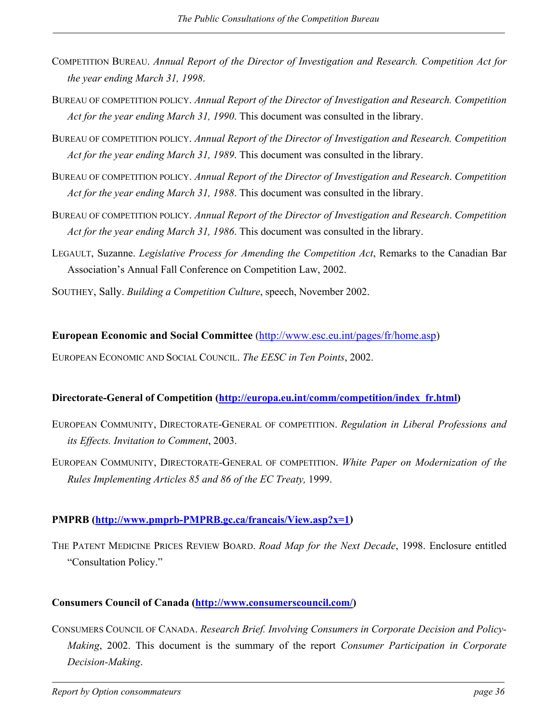- COMPETITION BUREAU. *Annual Report of the Director of Investigation and Research. Competition Act for the year ending March 31, 1998*.
- BUREAU OF COMPETITION POLICY. *Annual Report of the Director of Investigation and Research. Competition Act for the year ending March 31, 1990*. This document was consulted in the library.
- BUREAU OF COMPETITION POLICY. *Annual Report of the Director of Investigation and Research. Competition Act for the year ending March 31, 1989*. This document was consulted in the library.
- BUREAU OF COMPETITION POLICY. *Annual Report of the Director of Investigation and Research*. *Competition Act for the year ending March 31, 1988*. This document was consulted in the library.
- BUREAU OF COMPETITION POLICY. *Annual Report of the Director of Investigation and Research*. *Competition Act for the year ending March 31, 1986*. This document was consulted in the library.
- LEGAULT, Suzanne. *Legislative Process for Amending the Competition Act*, Remarks to the Canadian Bar Association's Annual Fall Conference on Competition Law, 2002.
- SOUTHEY, Sally. *Building a Competition Culture*, speech, November 2002.

### **European Economic and Social Committee** (http://www.esc.eu.int/pages/fr/home.asp)

EUROPEAN ECONOMIC AND SOCIAL COUNCIL. *The EESC in Ten Points*, 2002.

### **Directorate-General of Competition (http://europa.eu.int/comm/competition/index\_fr.html)**

- EUROPEAN COMMUNITY, DIRECTORATE-GENERAL OF COMPETITION. *Regulation in Liberal Professions and its Effects. Invitation to Comment*, 2003.
- EUROPEAN COMMUNITY, DIRECTORATE-GENERAL OF COMPETITION. *White Paper on Modernization of the Rules Implementing Articles 85 and 86 of the EC Treaty,* 1999.

### **PMPRB (http://www.pmprb-PMPRB.gc.ca/francais/View.asp?x=1)**

THE PATENT MEDICINE PRICES REVIEW BOARD. *Road Map for the Next Decade*, 1998. Enclosure entitled "Consultation Policy."

### **Consumers Council of Canada (http://www.consumerscouncil.com/)**

CONSUMERS COUNCIL OF CANADA. *Research Brief. Involving Consumers in Corporate Decision and Policy-Making*, 2002. This document is the summary of the report *Consumer Participation in Corporate Decision-Making*.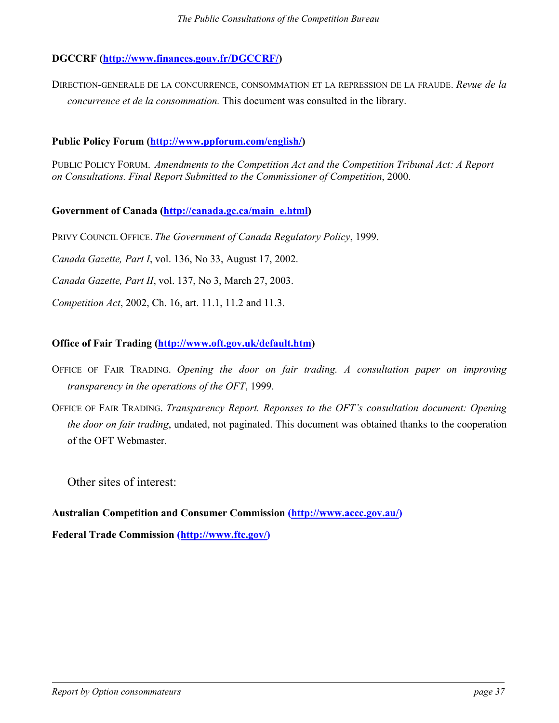### **DGCCRF (http://www.finances.gouv.fr/DGCCRF/)**

DIRECTION-GENERALE DE LA CONCURRENCE, CONSOMMATION ET LA REPRESSION DE LA FRAUDE. *Revue de la concurrence et de la consommation.* This document was consulted in the library.

**Public Policy Forum (http://www.ppforum.com/english/)** 

PUBLIC POLICY FORUM. *Amendments to the Competition Act and the Competition Tribunal Act: A Report on Consultations. Final Report Submitted to the Commissioner of Competition*, 2000.

**Government of Canada (http://canada.gc.ca/main\_e.html)** 

PRIVY COUNCIL OFFICE. *The Government of Canada Regulatory Policy*, 1999.

*Canada Gazette, Part I*, vol. 136, No 33, August 17, 2002.

*Canada Gazette, Part II*, vol. 137, No 3, March 27, 2003.

*Competition Act*, 2002, Ch. 16, art. 11.1, 11.2 and 11.3.

### **Office of Fair Trading (http://www.oft.gov.uk/default.htm)**

- OFFICE OF FAIR TRADING. *Opening the door on fair trading. A consultation paper on improving transparency in the operations of the OFT*, 1999.
- OFFICE OF FAIR TRADING. *Transparency Report. Reponses to the OFT's consultation document: Opening the door on fair trading*, undated, not paginated. This document was obtained thanks to the cooperation of the OFT Webmaster.

Other sites of interest:

**Australian Competition and Consumer Commission (http://www.accc.gov.au/)** 

**Federal Trade Commission (http://www.ftc.gov/)**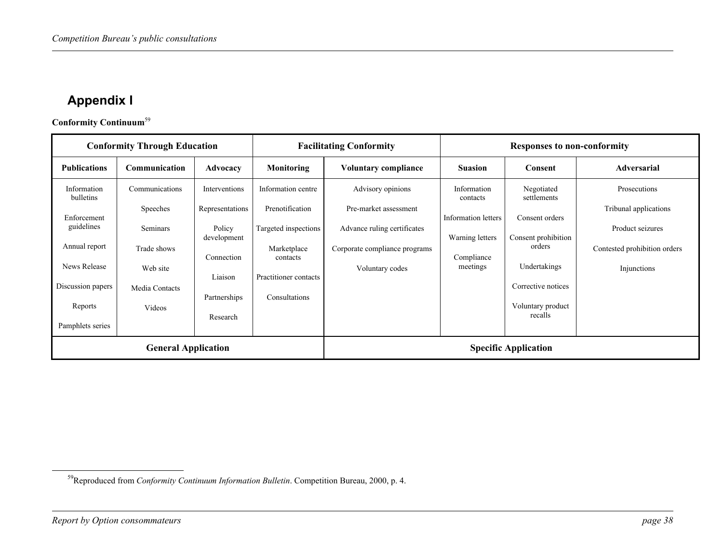## <span id="page-45-1"></span>**Appendix I**

**Conformity Continuum**[59](#page-45-1)

| <b>Conformity Through Education</b><br><b>Facilitating Conformity</b> |                | <b>Responses to non-conformity</b> |                         |                               |                         |                              |                              |
|-----------------------------------------------------------------------|----------------|------------------------------------|-------------------------|-------------------------------|-------------------------|------------------------------|------------------------------|
| <b>Publications</b>                                                   | Communication  | Advocacy                           | Monitoring              | <b>Voluntary compliance</b>   | <b>Suasion</b>          | Consent                      | <b>Adversarial</b>           |
| Information<br>bulletins                                              | Communications | Interventions                      | Information centre      | Advisory opinions             | Information<br>contacts | Negotiated<br>settlements    | Prosecutions                 |
| Enforcement                                                           | Speeches       | Representations                    | Prenotification         | Pre-market assessment         | Information letters     | Consent orders               | Tribunal applications        |
| guidelines                                                            | Seminars       | Policy<br>development              | Targeted inspections    | Advance ruling certificates   | Warning letters         | Consent prohibition          | Product seizures             |
| Annual report                                                         | Trade shows    | Connection                         | Marketplace<br>contacts | Corporate compliance programs | Compliance              | orders                       | Contested prohibition orders |
| News Release                                                          | Web site       | Liaison                            | Practitioner contacts   | Voluntary codes               | meetings                | Undertakings                 | Injunctions                  |
| Discussion papers                                                     | Media Contacts | Partnerships                       | Consultations           |                               |                         | Corrective notices           |                              |
| Reports                                                               | Videos         | Research                           |                         |                               |                         | Voluntary product<br>recalls |                              |
| Pamphlets series                                                      |                |                                    |                         |                               |                         |                              |                              |
| <b>General Application</b>                                            |                |                                    |                         | <b>Specific Application</b>   |                         |                              |                              |

<span id="page-45-0"></span><sup>59</sup>Reproduced from *Conformity Continuum Information Bulletin*. Competition Bureau, 2000, p. 4.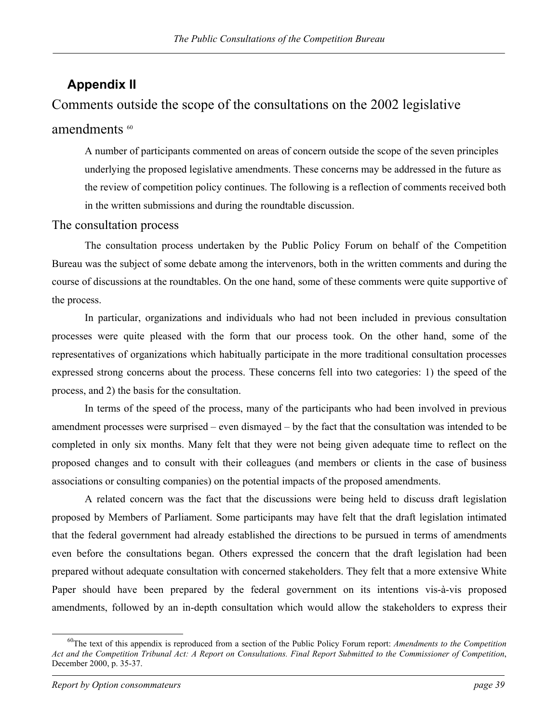## <span id="page-46-0"></span>**Appendix II**

## Comments outside the scope of the consultations on the 2002 legislative

### amendments <sup>[60](#page-46-1)</sup>

A number of participants commented on areas of concern outside the scope of the seven principles underlying the proposed legislative amendments. These concerns may be addressed in the future as the review of competition policy continues. The following is a reflection of comments received both in the written submissions and during the roundtable discussion.

### The consultation process

The consultation process undertaken by the Public Policy Forum on behalf of the Competition Bureau was the subject of some debate among the intervenors, both in the written comments and during the course of discussions at the roundtables. On the one hand, some of these comments were quite supportive of the process.

In particular, organizations and individuals who had not been included in previous consultation processes were quite pleased with the form that our process took. On the other hand, some of the representatives of organizations which habitually participate in the more traditional consultation processes expressed strong concerns about the process. These concerns fell into two categories: 1) the speed of the process, and 2) the basis for the consultation.

In terms of the speed of the process, many of the participants who had been involved in previous amendment processes were surprised – even dismayed – by the fact that the consultation was intended to be completed in only six months. Many felt that they were not being given adequate time to reflect on the proposed changes and to consult with their colleagues (and members or clients in the case of business associations or consulting companies) on the potential impacts of the proposed amendments.

A related concern was the fact that the discussions were being held to discuss draft legislation proposed by Members of Parliament. Some participants may have felt that the draft legislation intimated that the federal government had already established the directions to be pursued in terms of amendments even before the consultations began. Others expressed the concern that the draft legislation had been prepared without adequate consultation with concerned stakeholders. They felt that a more extensive White Paper should have been prepared by the federal government on its intentions vis-à-vis proposed amendments, followed by an in-depth consultation which would allow the stakeholders to express their

l

<span id="page-46-1"></span><sup>60</sup>The text of this appendix is reproduced from a section of the Public Policy Forum report: *Amendments to the Competition Act and the Competition Tribunal Act: A Report on Consultations. Final Report Submitted to the Commissioner of Competition*, December 2000, p. 35-37.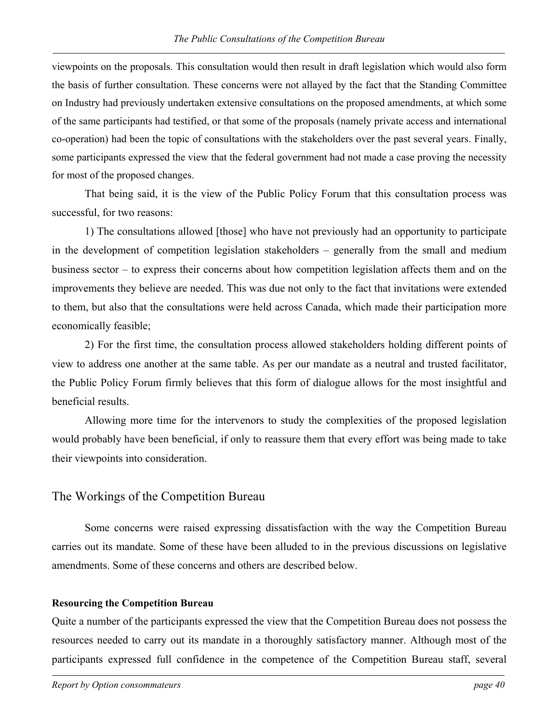viewpoints on the proposals. This consultation would then result in draft legislation which would also form the basis of further consultation. These concerns were not allayed by the fact that the Standing Committee on Industry had previously undertaken extensive consultations on the proposed amendments, at which some of the same participants had testified, or that some of the proposals (namely private access and international co-operation) had been the topic of consultations with the stakeholders over the past several years. Finally, some participants expressed the view that the federal government had not made a case proving the necessity for most of the proposed changes.

That being said, it is the view of the Public Policy Forum that this consultation process was successful, for two reasons:

1) The consultations allowed [those] who have not previously had an opportunity to participate in the development of competition legislation stakeholders – generally from the small and medium business sector – to express their concerns about how competition legislation affects them and on the improvements they believe are needed. This was due not only to the fact that invitations were extended to them, but also that the consultations were held across Canada, which made their participation more economically feasible;

2) For the first time, the consultation process allowed stakeholders holding different points of view to address one another at the same table. As per our mandate as a neutral and trusted facilitator, the Public Policy Forum firmly believes that this form of dialogue allows for the most insightful and beneficial results.

Allowing more time for the intervenors to study the complexities of the proposed legislation would probably have been beneficial, if only to reassure them that every effort was being made to take their viewpoints into consideration.

### The Workings of the Competition Bureau

Some concerns were raised expressing dissatisfaction with the way the Competition Bureau carries out its mandate. Some of these have been alluded to in the previous discussions on legislative amendments. Some of these concerns and others are described below.

### **Resourcing the Competition Bureau**

Quite a number of the participants expressed the view that the Competition Bureau does not possess the resources needed to carry out its mandate in a thoroughly satisfactory manner. Although most of the participants expressed full confidence in the competence of the Competition Bureau staff, several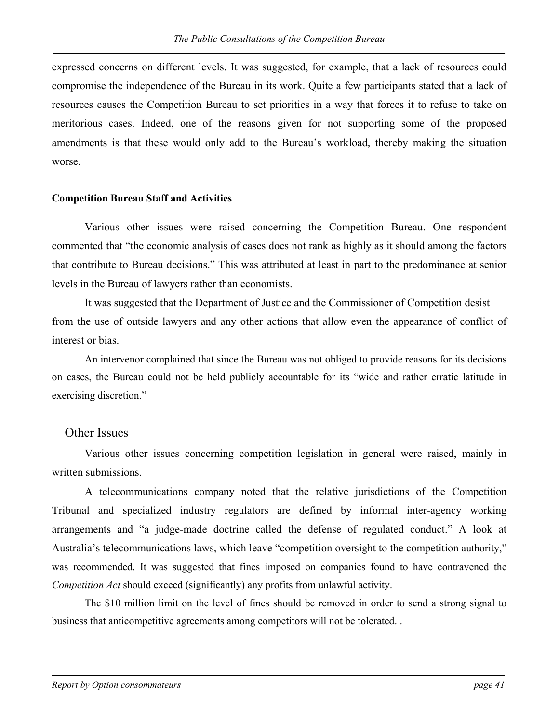expressed concerns on different levels. It was suggested, for example, that a lack of resources could compromise the independence of the Bureau in its work. Quite a few participants stated that a lack of resources causes the Competition Bureau to set priorities in a way that forces it to refuse to take on meritorious cases. Indeed, one of the reasons given for not supporting some of the proposed amendments is that these would only add to the Bureau's workload, thereby making the situation worse.

#### **Competition Bureau Staff and Activities**

Various other issues were raised concerning the Competition Bureau. One respondent commented that "the economic analysis of cases does not rank as highly as it should among the factors that contribute to Bureau decisions." This was attributed at least in part to the predominance at senior levels in the Bureau of lawyers rather than economists.

It was suggested that the Department of Justice and the Commissioner of Competition desist from the use of outside lawyers and any other actions that allow even the appearance of conflict of interest or bias.

An intervenor complained that since the Bureau was not obliged to provide reasons for its decisions on cases, the Bureau could not be held publicly accountable for its "wide and rather erratic latitude in exercising discretion."

### Other Issues

Various other issues concerning competition legislation in general were raised, mainly in written submissions.

A telecommunications company noted that the relative jurisdictions of the Competition Tribunal and specialized industry regulators are defined by informal inter-agency working arrangements and "a judge-made doctrine called the defense of regulated conduct." A look at Australia's telecommunications laws, which leave "competition oversight to the competition authority," was recommended. It was suggested that fines imposed on companies found to have contravened the *Competition Act* should exceed (significantly) any profits from unlawful activity.

The \$10 million limit on the level of fines should be removed in order to send a strong signal to business that anticompetitive agreements among competitors will not be tolerated. .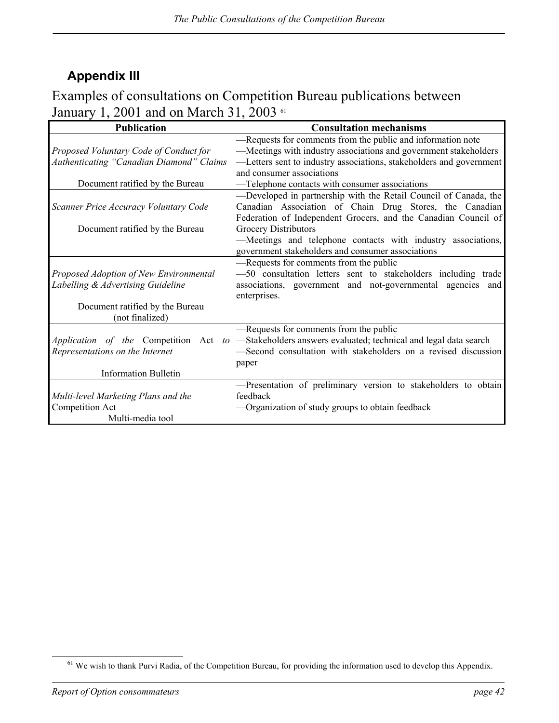# <span id="page-49-0"></span>**Appendix III**

## Examples of consultations on Competition Bureau publications between January 1, 2001 and on March 31, 2003 [61](#page-49-1)

| <b>Publication</b>                       | <b>Consultation mechanisms</b>                                      |
|------------------------------------------|---------------------------------------------------------------------|
|                                          | -Requests for comments from the public and information note         |
| Proposed Voluntary Code of Conduct for   | -Meetings with industry associations and government stakeholders    |
| Authenticating "Canadian Diamond" Claims | -Letters sent to industry associations, stakeholders and government |
|                                          | and consumer associations                                           |
| Document ratified by the Bureau          | -Telephone contacts with consumer associations                      |
|                                          | -Developed in partnership with the Retail Council of Canada, the    |
| Scanner Price Accuracy Voluntary Code    | Canadian Association of Chain Drug Stores, the Canadian             |
|                                          | Federation of Independent Grocers, and the Canadian Council of      |
| Document ratified by the Bureau          | <b>Grocery Distributors</b>                                         |
|                                          | -Meetings and telephone contacts with industry associations,        |
|                                          | government stakeholders and consumer associations                   |
|                                          | -Requests for comments from the public                              |
| Proposed Adoption of New Environmental   | -50 consultation letters sent to stakeholders including trade       |
| Labelling & Advertising Guideline        | associations, government and not-governmental agencies and          |
|                                          | enterprises.                                                        |
| Document ratified by the Bureau          |                                                                     |
| (not finalized)                          |                                                                     |
|                                          | -Requests for comments from the public                              |
| Application of the Competition Act to    | -Stakeholders answers evaluated; technical and legal data search    |
| Representations on the Internet          | -Second consultation with stakeholders on a revised discussion      |
|                                          | paper                                                               |
| <b>Information Bulletin</b>              |                                                                     |
|                                          | -Presentation of preliminary version to stakeholders to obtain      |
| Multi-level Marketing Plans and the      | feedback                                                            |
| Competition Act                          | —Organization of study groups to obtain feedback                    |
| Multi-media tool                         |                                                                     |

<span id="page-49-1"></span> $61$  We wish to thank Purvi Radia, of the Competition Bureau, for providing the information used to develop this Appendix.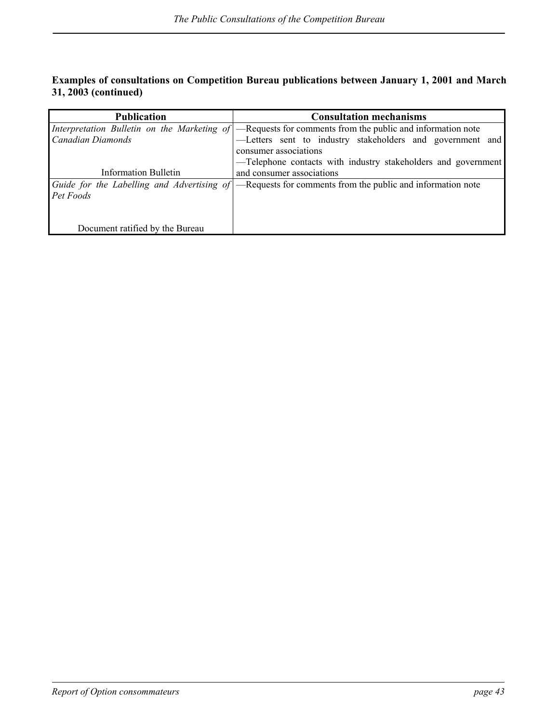### **Examples of consultations on Competition Bureau publications between January 1, 2001 and March 31, 2003 (continued)**

| <b>Publication</b>              | <b>Consultation mechanisms</b>                                                                          |
|---------------------------------|---------------------------------------------------------------------------------------------------------|
|                                 | Interpretation Bulletin on the Marketing of -Requests for comments from the public and information note |
| Canadian Diamonds               | -Letters sent to industry stakeholders and government and                                               |
|                                 | consumer associations                                                                                   |
|                                 | -Telephone contacts with industry stakeholders and government                                           |
| Information Bulletin            | and consumer associations                                                                               |
|                                 | Guide for the Labelling and Advertising of –Requests for comments from the public and information note  |
| Pet Foods                       |                                                                                                         |
|                                 |                                                                                                         |
|                                 |                                                                                                         |
| Document ratified by the Bureau |                                                                                                         |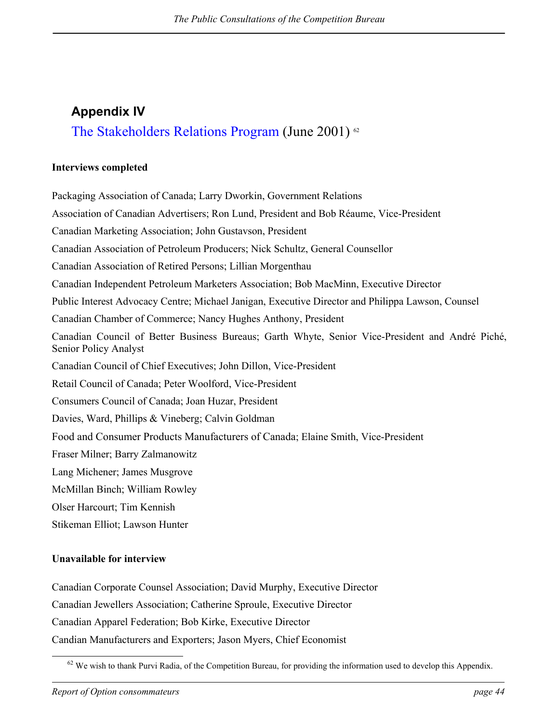# <span id="page-51-0"></span>**Appendix IV**  The Stakeholders Relations Program (June 2001) <sup>62</sup>

### **Interviews completed**

Packaging Association of Canada; Larry Dworkin, Government Relations Association of Canadian Advertisers; Ron Lund, President and Bob Réaume, Vice-President Canadian Marketing Association; John Gustavson, President Canadian Association of Petroleum Producers; Nick Schultz, General Counsellor Canadian Association of Retired Persons; Lillian Morgenthau Canadian Independent Petroleum Marketers Association; Bob MacMinn, Executive Director Public Interest Advocacy Centre; Michael Janigan, Executive Director and Philippa Lawson, Counsel Canadian Chamber of Commerce; Nancy Hughes Anthony, President Canadian Council of Better Business Bureaus; Garth Whyte, Senior Vice-President and André Piché, Senior Policy Analyst Canadian Council of Chief Executives; John Dillon, Vice-President Retail Council of Canada; Peter Woolford, Vice-President Consumers Council of Canada; Joan Huzar, President Davies, Ward, Phillips & Vineberg; Calvin Goldman Food and Consumer Products Manufacturers of Canada; Elaine Smith, Vice-President Fraser Milner; Barry Zalmanowitz Lang Michener; James Musgrove McMillan Binch; William Rowley Olser Harcourt; Tim Kennish Stikeman Elliot; Lawson Hunter

### **Unavailable for interview**

Canadian Corporate Counsel Association; David Murphy, Executive Director Canadian Jewellers Association; Catherine Sproule, Executive Director Canadian Apparel Federation; Bob Kirke, Executive Director Candian Manufacturers and Exporters; Jason Myers, Chief Economist

<span id="page-51-1"></span> $62$  We wish to thank Purvi Radia, of the Competition Bureau, for providing the information used to develop this Appendix.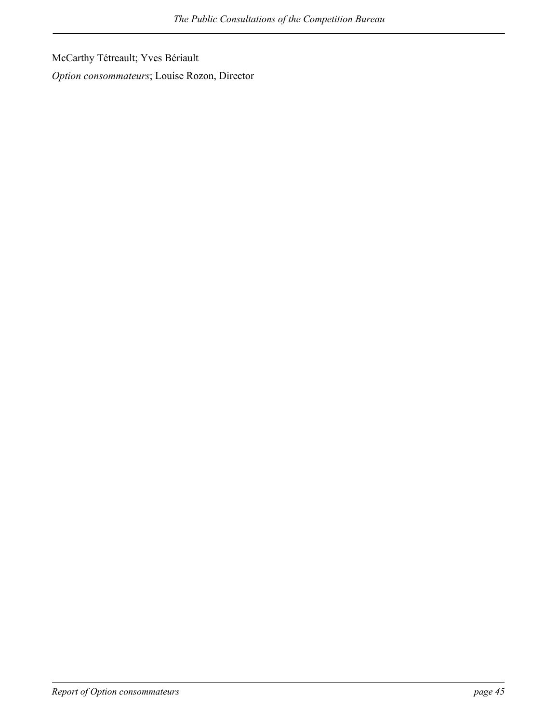McCarthy Tétreault; Yves Bériault

*Option consommateurs*; Louise Rozon, Director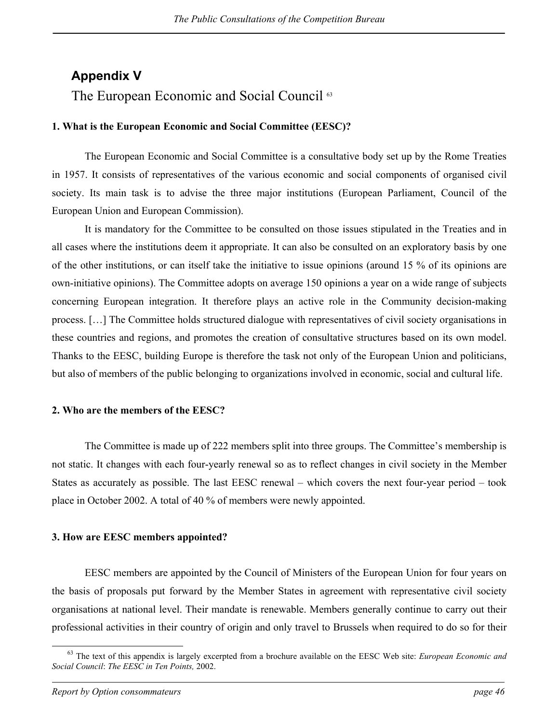## <span id="page-53-0"></span>**Appendix V**

## The European Economic and Social Council<sup>[63](#page-53-1)</sup>

### **1. What is the European Economic and Social Committee (EESC)?**

The European Economic and Social Committee is a consultative body set up by the Rome Treaties in 1957. It consists of representatives of the various economic and social components of organised civil society. Its main task is to advise the three major institutions (European Parliament, Council of the European Union and European Commission).

It is mandatory for the Committee to be consulted on those issues stipulated in the Treaties and in all cases where the institutions deem it appropriate. It can also be consulted on an exploratory basis by one of the other institutions, or can itself take the initiative to issue opinions (around 15 % of its opinions are own-initiative opinions). The Committee adopts on average 150 opinions a year on a wide range of subjects concerning European integration. It therefore plays an active role in the Community decision-making process. […] The Committee holds structured dialogue with representatives of civil society organisations in these countries and regions, and promotes the creation of consultative structures based on its own model. Thanks to the EESC, building Europe is therefore the task not only of the European Union and politicians, but also of members of the public belonging to organizations involved in economic, social and cultural life.

### **2. Who are the members of the EESC?**

The Committee is made up of 222 members split into three groups. The Committee's membership is not static. It changes with each four-yearly renewal so as to reflect changes in civil society in the Member States as accurately as possible. The last EESC renewal – which covers the next four-year period – took place in October 2002. A total of 40 % of members were newly appointed.

### **3. How are EESC members appointed?**

EESC members are appointed by the Council of Ministers of the European Union for four years on the basis of proposals put forward by the Member States in agreement with representative civil society organisations at national level. Their mandate is renewable. Members generally continue to carry out their professional activities in their country of origin and only travel to Brussels when required to do so for their

<span id="page-53-1"></span> <sup>63</sup> The text of this appendix is largely excerpted from a brochure available on the EESC Web site: *European Economic and Social Council*: *The EESC in Ten Points,* 2002.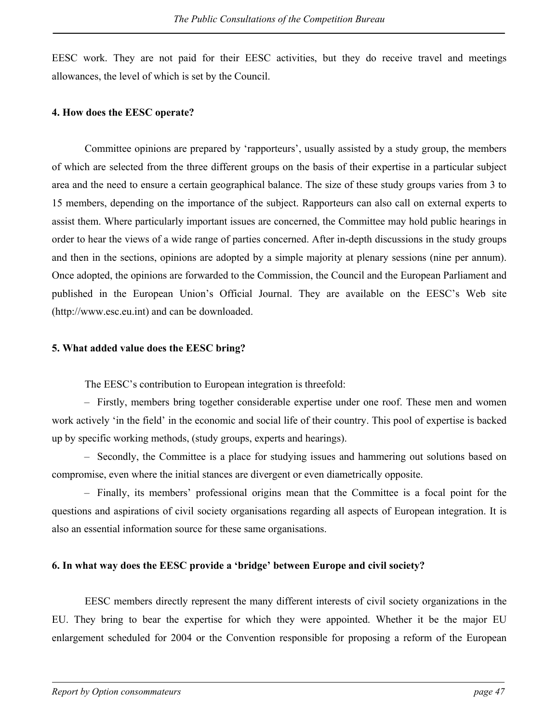EESC work. They are not paid for their EESC activities, but they do receive travel and meetings allowances, the level of which is set by the Council.

### **4. How does the EESC operate?**

Committee opinions are prepared by 'rapporteurs', usually assisted by a study group, the members of which are selected from the three different groups on the basis of their expertise in a particular subject area and the need to ensure a certain geographical balance. The size of these study groups varies from 3 to 15 members, depending on the importance of the subject. Rapporteurs can also call on external experts to assist them. Where particularly important issues are concerned, the Committee may hold public hearings in order to hear the views of a wide range of parties concerned. After in-depth discussions in the study groups and then in the sections, opinions are adopted by a simple majority at plenary sessions (nine per annum). Once adopted, the opinions are forwarded to the Commission, the Council and the European Parliament and published in the European Union's Official Journal. They are available on the EESC's Web site (http://www.esc.eu.int) and can be downloaded.

### **5. What added value does the EESC bring?**

The EESC's contribution to European integration is threefold:

– Firstly, members bring together considerable expertise under one roof. These men and women work actively 'in the field' in the economic and social life of their country. This pool of expertise is backed up by specific working methods, (study groups, experts and hearings).

– Secondly, the Committee is a place for studying issues and hammering out solutions based on compromise, even where the initial stances are divergent or even diametrically opposite.

– Finally, its members' professional origins mean that the Committee is a focal point for the questions and aspirations of civil society organisations regarding all aspects of European integration. It is also an essential information source for these same organisations.

### **6. In what way does the EESC provide a 'bridge' between Europe and civil society?**

EESC members directly represent the many different interests of civil society organizations in the EU. They bring to bear the expertise for which they were appointed. Whether it be the major EU enlargement scheduled for 2004 or the Convention responsible for proposing a reform of the European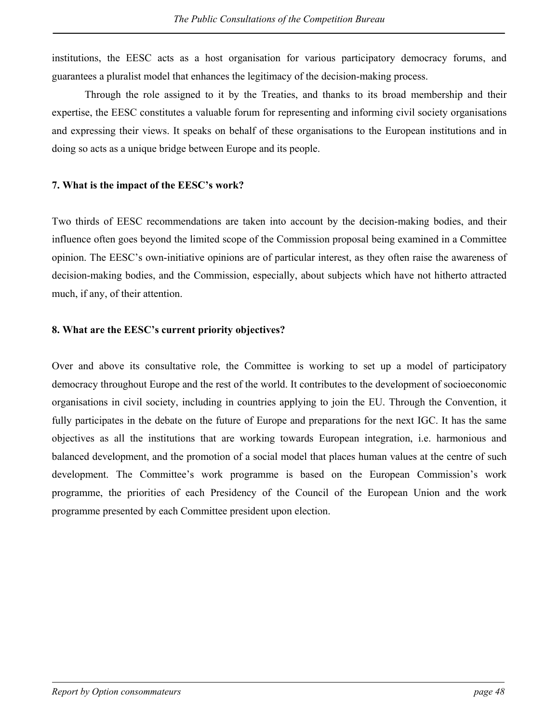institutions, the EESC acts as a host organisation for various participatory democracy forums, and guarantees a pluralist model that enhances the legitimacy of the decision-making process.

Through the role assigned to it by the Treaties, and thanks to its broad membership and their expertise, the EESC constitutes a valuable forum for representing and informing civil society organisations and expressing their views. It speaks on behalf of these organisations to the European institutions and in doing so acts as a unique bridge between Europe and its people.

### **7. What is the impact of the EESC's work?**

Two thirds of EESC recommendations are taken into account by the decision-making bodies, and their influence often goes beyond the limited scope of the Commission proposal being examined in a Committee opinion. The EESC's own-initiative opinions are of particular interest, as they often raise the awareness of decision-making bodies, and the Commission, especially, about subjects which have not hitherto attracted much, if any, of their attention.

### **8. What are the EESC's current priority objectives?**

Over and above its consultative role, the Committee is working to set up a model of participatory democracy throughout Europe and the rest of the world. It contributes to the development of socioeconomic organisations in civil society, including in countries applying to join the EU. Through the Convention, it fully participates in the debate on the future of Europe and preparations for the next IGC. It has the same objectives as all the institutions that are working towards European integration, i.e. harmonious and balanced development, and the promotion of a social model that places human values at the centre of such development. The Committee's work programme is based on the European Commission's work programme, the priorities of each Presidency of the Council of the European Union and the work programme presented by each Committee president upon election.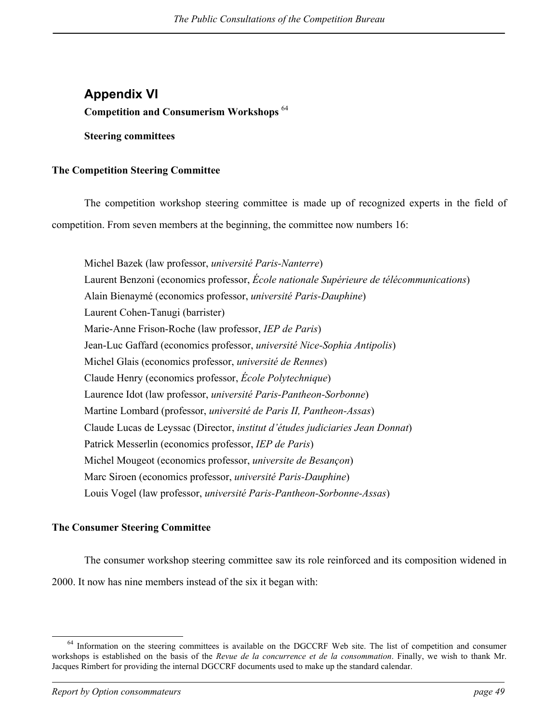## <span id="page-56-0"></span>**Appendix VI Competition and Consumerism Workshops** [64](#page-56-1)

**Steering committees** 

### **The Competition Steering Committee**

The competition workshop steering committee is made up of recognized experts in the field of competition. From seven members at the beginning, the committee now numbers 16:

Michel Bazek (law professor, *université Paris-Nanterre*) Laurent Benzoni (economics professor, *École nationale Supérieure de télécommunications*) Alain Bienaymé (economics professor, *université Paris-Dauphine*) Laurent Cohen-Tanugi (barrister) Marie-Anne Frison-Roche (law professor, *IEP de Paris*) Jean-Luc Gaffard (economics professor, *université Nice-Sophia Antipolis*) Michel Glais (economics professor, *université de Rennes*) Claude Henry (economics professor, *École Polytechnique*) Laurence Idot (law professor, *université Paris-Pantheon-Sorbonne*) Martine Lombard (professor, *université de Paris II, Pantheon-Assas*) Claude Lucas de Leyssac (Director, *institut d'études judiciaries Jean Donnat*) Patrick Messerlin (economics professor, *IEP de Paris*) Michel Mougeot (economics professor, *universite de Besançon*) Marc Siroen (economics professor, *université Paris-Dauphine*) Louis Vogel (law professor, *université Paris-Pantheon-Sorbonne-Assas*)

### **The Consumer Steering Committee**

The consumer workshop steering committee saw its role reinforced and its composition widened in 2000. It now has nine members instead of the six it began with:

<span id="page-56-1"></span><sup>&</sup>lt;sup>64</sup> Information on the steering committees is available on the DGCCRF Web site. The list of competition and consumer workshops is established on the basis of the *Revue de la concurrence et de la consommation*. Finally, we wish to thank Mr. Jacques Rimbert for providing the internal DGCCRF documents used to make up the standard calendar.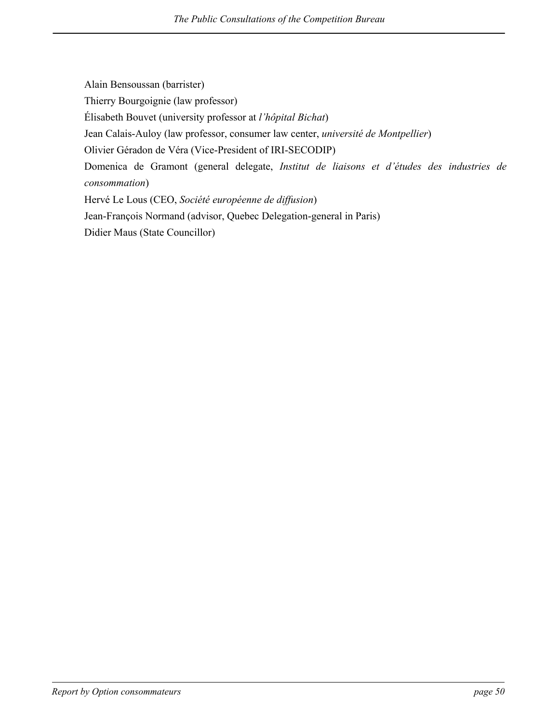Alain Bensoussan (barrister) Thierry Bourgoignie (law professor) Élisabeth Bouvet (university professor at *l'hôpital Bichat*) Jean Calais-Auloy (law professor, consumer law center, *université de Montpellier*) Olivier Géradon de Véra (Vice-President of IRI-SECODIP) Domenica de Gramont (general delegate, *Institut de liaisons et d'études des industries de consommation*) Hervé Le Lous (CEO, *Société européenne de diffusion*) Jean-François Normand (advisor, Quebec Delegation-general in Paris) Didier Maus (State Councillor)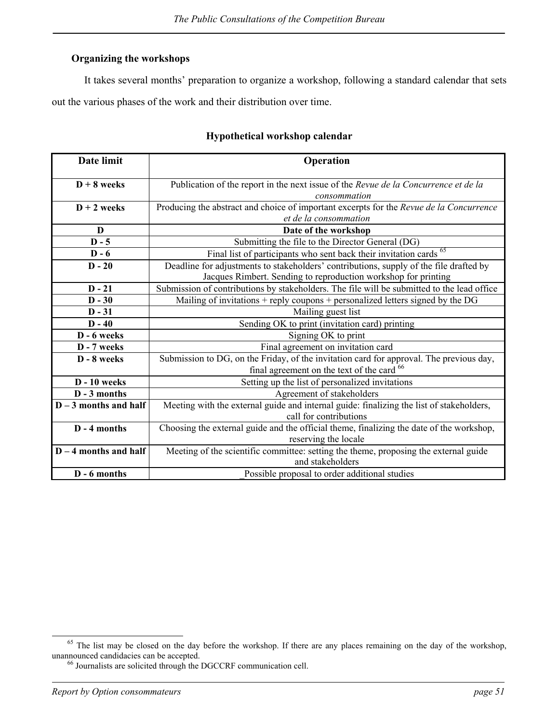### **Organizing the workshops**

It takes several months' preparation to organize a workshop, following a standard calendar that sets out the various phases of the work and their distribution over time.

| Date limit              | Operation                                                                                  |  |
|-------------------------|--------------------------------------------------------------------------------------------|--|
| $D + 8$ weeks           | Publication of the report in the next issue of the Revue de la Concurrence et de la        |  |
|                         | consommation                                                                               |  |
| $D + 2$ weeks           | Producing the abstract and choice of important excerpts for the Revue de la Concurrence    |  |
|                         | et de la consommation                                                                      |  |
| D                       | Date of the workshop                                                                       |  |
| $D - 5$                 | Submitting the file to the Director General (DG)                                           |  |
| $D - 6$                 | Final list of participants who sent back their invitation cards <sup>65</sup>              |  |
| $D - 20$                | Deadline for adjustments to stakeholders' contributions, supply of the file drafted by     |  |
|                         | Jacques Rimbert. Sending to reproduction workshop for printing                             |  |
| $D - 21$                | Submission of contributions by stakeholders. The file will be submitted to the lead office |  |
| $D - 30$                | Mailing of invitations + reply coupons + personalized letters signed by the $DG$           |  |
| $D - 31$                | Mailing guest list                                                                         |  |
| $D - 40$                | Sending OK to print (invitation card) printing                                             |  |
| D - 6 weeks             | Signing OK to print                                                                        |  |
| D - 7 weeks             | Final agreement on invitation card                                                         |  |
| D - 8 weeks             | Submission to DG, on the Friday, of the invitation card for approval. The previous day,    |  |
|                         | final agreement on the text of the card <sup>66</sup>                                      |  |
| $D - 10$ weeks          | Setting up the list of personalized invitations                                            |  |
| D - 3 months            | Agreement of stakeholders                                                                  |  |
| $D-3$ months and half   | Meeting with the external guide and internal guide: finalizing the list of stakeholders,   |  |
|                         | call for contributions                                                                     |  |
| D - 4 months            | Choosing the external guide and the official theme, finalizing the date of the workshop,   |  |
|                         | reserving the locale                                                                       |  |
| $D - 4$ months and half | Meeting of the scientific committee: setting the theme, proposing the external guide       |  |
|                         | and stakeholders                                                                           |  |
| D - 6 months            | Possible proposal to order additional studies                                              |  |

### **Hypothetical workshop calendar**

<sup>&</sup>lt;sup>65</sup> The list may be closed on the day before the workshop. If there are any places remaining on the day of the workshop, unannounced candidacies can be accepted.<br><sup>66</sup> Journalists are solicited through the DGCCRF communication cell.

<span id="page-58-1"></span><span id="page-58-0"></span>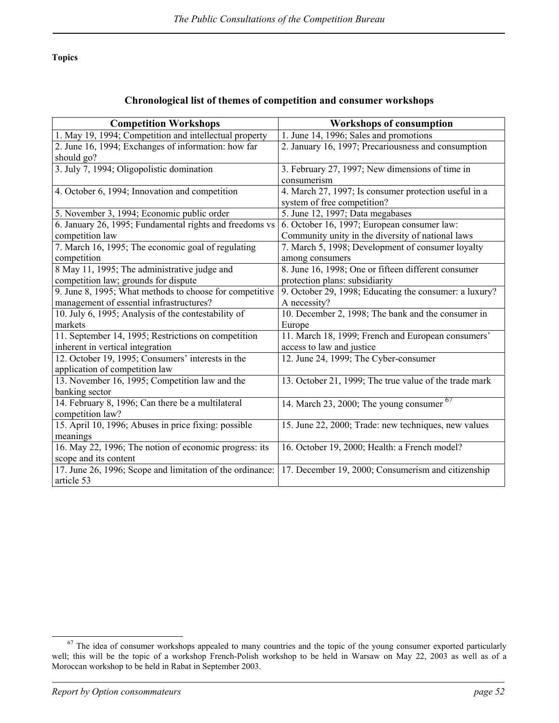**Topics** 

### **Chronological list of themes of competition and consumer workshops**

| <b>Competition Workshops</b>                              | <b>Workshops of consumption</b>                        |
|-----------------------------------------------------------|--------------------------------------------------------|
| 1. May 19, 1994; Competition and intellectual property    | 1. June 14, 1996; Sales and promotions                 |
| 2. June 16, 1994; Exchanges of information: how far       | 2. January 16, 1997; Precariousness and consumption    |
| should go?                                                |                                                        |
| 3. July 7, 1994; Oligopolistic domination                 | 3. February 27, 1997; New dimensions of time in        |
|                                                           | consumerism                                            |
| 4. October 6, 1994; Innovation and competition            | 4. March 27, 1997; Is consumer protection useful in a  |
|                                                           | system of free competition?                            |
| 5. November 3, 1994; Economic public order                | 5. June 12, 1997; Data megabases                       |
| 6. January 26, 1995; Fundamental rights and freedoms vs   | 6. October 16, 1997; European consumer law:            |
| competition law                                           | Community unity in the diversity of national laws      |
| 7. March 16, 1995; The economic goal of regulating        | 7. March 5, 1998; Development of consumer loyalty      |
| competition                                               | among consumers                                        |
| 8 May 11, 1995; The administrative judge and              | 8. June 16, 1998; One or fifteen different consumer    |
| competition law; grounds for dispute                      | protection plans: subsidiarity                         |
| 9. June 8, 1995; What methods to choose for competitive   | 9. October 29, 1998; Educating the consumer: a luxury? |
| management of essential infrastructures?                  | A necessity?                                           |
| 10. July 6, 1995; Analysis of the contestability of       | 10. December 2, 1998; The bank and the consumer in     |
| markets                                                   | Europe                                                 |
| 11. September 14, 1995; Restrictions on competition       | 11. March 18, 1999; French and European consumers'     |
| inherent in vertical integration                          | access to law and justice                              |
| 12. October 19, 1995; Consumers' interests in the         | 12. June 24, 1999; The Cyber-consumer                  |
| application of competition law                            |                                                        |
| 13. November 16, 1995; Competition law and the            | 13. October 21, 1999; The true value of the trade mark |
| banking sector                                            |                                                        |
| 14. February 8, 1996; Can there be a multilateral         | 67<br>14. March 23, 2000; The young consumer           |
| competition law?                                          |                                                        |
| 15. April 10, 1996; Abuses in price fixing: possible      | 15. June 22, 2000; Trade: new techniques, new values   |
| meanings                                                  |                                                        |
| 16. May 22, 1996; The notion of economic progress: its    | 16. October 19, 2000; Health: a French model?          |
| scope and its content                                     |                                                        |
| 17. June 26, 1996; Scope and limitation of the ordinance: | 17. December 19, 2000; Consumerism and citizenship     |
| article 53                                                |                                                        |

<span id="page-59-0"></span><sup>&</sup>lt;sup>67</sup> The idea of consumer workshops appealed to many countries and the topic of the young consumer exported particularly well; this will be the topic of a workshop French-Polish workshop to be held in Warsaw on May 22, 2003 as well as of a Moroccan workshop to be held in Rabat in September 2003.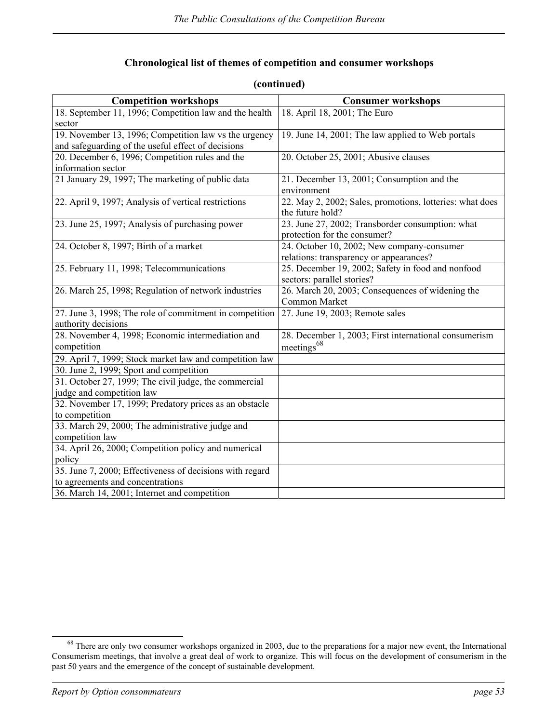### **Chronological list of themes of competition and consumer workshops**

| <b>Competition workshops</b>                             | <b>Consumer workshops</b>                                |
|----------------------------------------------------------|----------------------------------------------------------|
| 18. September 11, 1996; Competition law and the health   | 18. April 18, 2001; The Euro                             |
| sector                                                   |                                                          |
| 19. November 13, 1996; Competition law vs the urgency    | 19. June 14, 2001; The law applied to Web portals        |
| and safeguarding of the useful effect of decisions       |                                                          |
| 20. December 6, 1996; Competition rules and the          | 20. October 25, 2001; Abusive clauses                    |
| information sector                                       |                                                          |
| 21 January 29, 1997; The marketing of public data        | 21. December 13, 2001; Consumption and the               |
|                                                          | environment                                              |
| 22. April 9, 1997; Analysis of vertical restrictions     | 22. May 2, 2002; Sales, promotions, lotteries: what does |
|                                                          | the future hold?                                         |
| 23. June 25, 1997; Analysis of purchasing power          | 23. June 27, 2002; Transborder consumption: what         |
|                                                          | protection for the consumer?                             |
| 24. October 8, 1997; Birth of a market                   | 24. October 10, 2002; New company-consumer               |
|                                                          | relations: transparency or appearances?                  |
| 25. February 11, 1998; Telecommunications                | 25. December 19, 2002; Safety in food and nonfood        |
|                                                          | sectors: parallel stories?                               |
| 26. March 25, 1998; Regulation of network industries     | 26. March 20, 2003; Consequences of widening the         |
|                                                          | Common Market                                            |
| 27. June 3, 1998; The role of commitment in competition  | 27. June 19, 2003; Remote sales                          |
| authority decisions                                      |                                                          |
| 28. November 4, 1998; Economic intermediation and        | 28. December 1, 2003; First international consumerism    |
| competition                                              | meetings <sup>68</sup>                                   |
| 29. April 7, 1999; Stock market law and competition law  |                                                          |
| 30. June 2, 1999; Sport and competition                  |                                                          |
| 31. October 27, 1999; The civil judge, the commercial    |                                                          |
| judge and competition law                                |                                                          |
| 32. November 17, 1999; Predatory prices as an obstacle   |                                                          |
| to competition                                           |                                                          |
| 33. March 29, 2000; The administrative judge and         |                                                          |
| competition law                                          |                                                          |
| 34. April 26, 2000; Competition policy and numerical     |                                                          |
| policy                                                   |                                                          |
| 35. June 7, 2000; Effectiveness of decisions with regard |                                                          |
| to agreements and concentrations                         |                                                          |
| 36. March 14, 2001; Internet and competition             |                                                          |

### **(continued)**

<span id="page-60-0"></span><sup>&</sup>lt;sup>68</sup> There are only two consumer workshops organized in 2003, due to the preparations for a major new event, the International Consumerism meetings, that involve a great deal of work to organize. This will focus on the development of consumerism in the past 50 years and the emergence of the concept of sustainable development.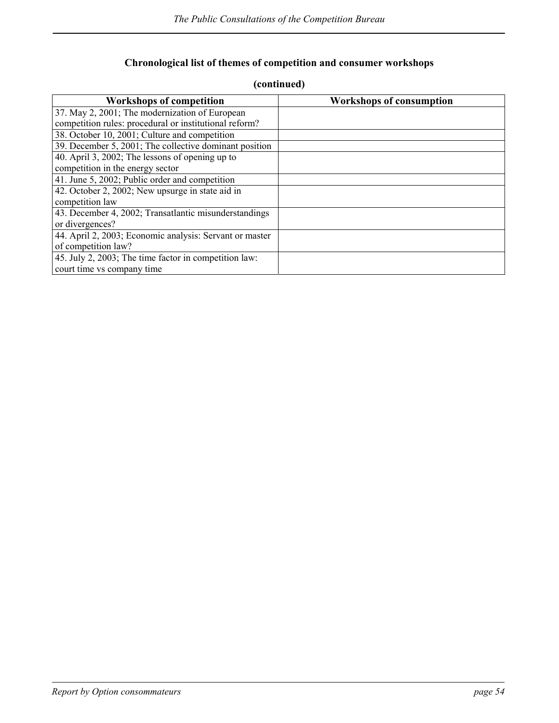## **Chronological list of themes of competition and consumer workshops**

| <b>Workshops of competition</b>                         | <b>Workshops of consumption</b> |
|---------------------------------------------------------|---------------------------------|
| 37. May 2, 2001; The modernization of European          |                                 |
| competition rules: procedural or institutional reform?  |                                 |
| 38. October 10, 2001; Culture and competition           |                                 |
| 39. December 5, 2001; The collective dominant position  |                                 |
| 40. April 3, 2002; The lessons of opening up to         |                                 |
| competition in the energy sector                        |                                 |
| 41. June 5, 2002; Public order and competition          |                                 |
| 42. October 2, 2002; New upsurge in state aid in        |                                 |
| competition law                                         |                                 |
| 43. December 4, 2002; Transatlantic misunderstandings   |                                 |
| or divergences?                                         |                                 |
| 44. April 2, 2003; Economic analysis: Servant or master |                                 |
| of competition law?                                     |                                 |
| 45. July 2, 2003; The time factor in competition law:   |                                 |
| court time vs company time                              |                                 |

### **(continued)**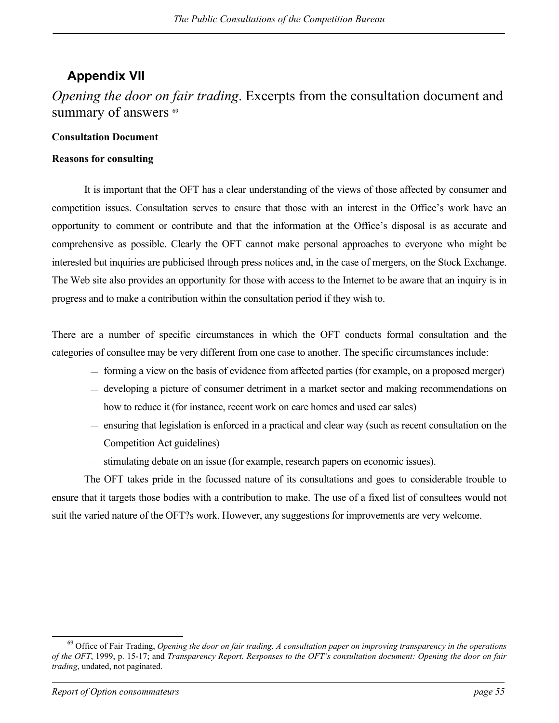## <span id="page-62-0"></span>**Appendix VII**

## *Opening the door on fair trading*. Excerpts from the consultation document and summary of answers <sup>[69](#page-62-1)</sup>

### **Consultation Document**

### **Reasons for consulting**

It is important that the OFT has a clear understanding of the views of those affected by consumer and competition issues. Consultation serves to ensure that those with an interest in the Office's work have an opportunity to comment or contribute and that the information at the Office's disposal is as accurate and comprehensive as possible. Clearly the OFT cannot make personal approaches to everyone who might be interested but inquiries are publicised through press notices and, in the case of mergers, on the Stock Exchange. The Web site also provides an opportunity for those with access to the Internet to be aware that an inquiry is in progress and to make a contribution within the consultation period if they wish to.

There are a number of specific circumstances in which the OFT conducts formal consultation and the categories of consultee may be very different from one case to another. The specific circumstances include:

- forming a view on the basis of evidence from affected parties (for example, on a proposed merger)
- developing a picture of consumer detriment in a market sector and making recommendations on how to reduce it (for instance, recent work on care homes and used car sales)
- ensuring that legislation is enforced in a practical and clear way (such as recent consultation on the Competition Act guidelines)
- stimulating debate on an issue (for example, research papers on economic issues).

The OFT takes pride in the focussed nature of its consultations and goes to considerable trouble to ensure that it targets those bodies with a contribution to make. The use of a fixed list of consultees would not suit the varied nature of the OFT?s work. However, any suggestions for improvements are very welcome.

l

<span id="page-62-1"></span><sup>69</sup> Office of Fair Trading, *Opening the door on fair trading. A consultation paper on improving transparency in the operations of the OFT*, 1999, p. 15-17; and *Transparency Report. Responses to the OFT's consultation document: Opening the door on fair trading*, undated, not paginated.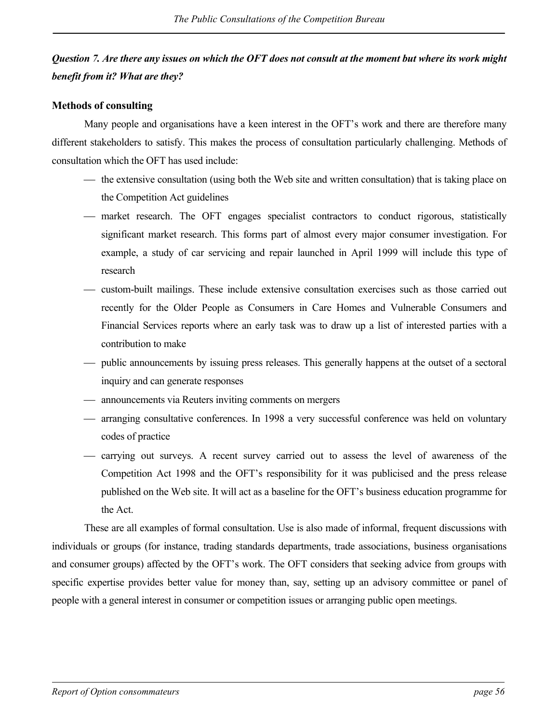## *Question 7. Are there any issues on which the OFT does not consult at the moment but where its work might benefit from it? What are they?*

### **Methods of consulting**

Many people and organisations have a keen interest in the OFT's work and there are therefore many different stakeholders to satisfy. This makes the process of consultation particularly challenging. Methods of consultation which the OFT has used include:

- the extensive consultation (using both the Web site and written consultation) that is taking place on the Competition Act guidelines
- market research. The OFT engages specialist contractors to conduct rigorous, statistically significant market research. This forms part of almost every major consumer investigation. For example, a study of car servicing and repair launched in April 1999 will include this type of research
- custom-built mailings. These include extensive consultation exercises such as those carried out recently for the Older People as Consumers in Care Homes and Vulnerable Consumers and Financial Services reports where an early task was to draw up a list of interested parties with a contribution to make
- public announcements by issuing press releases. This generally happens at the outset of a sectoral inquiry and can generate responses
- announcements via Reuters inviting comments on mergers
- arranging consultative conferences. In 1998 a very successful conference was held on voluntary codes of practice
- carrying out surveys. A recent survey carried out to assess the level of awareness of the Competition Act 1998 and the OFT's responsibility for it was publicised and the press release published on the Web site. It will act as a baseline for the OFT's business education programme for the Act.

These are all examples of formal consultation. Use is also made of informal, frequent discussions with individuals or groups (for instance, trading standards departments, trade associations, business organisations and consumer groups) affected by the OFT's work. The OFT considers that seeking advice from groups with specific expertise provides better value for money than, say, setting up an advisory committee or panel of people with a general interest in consumer or competition issues or arranging public open meetings.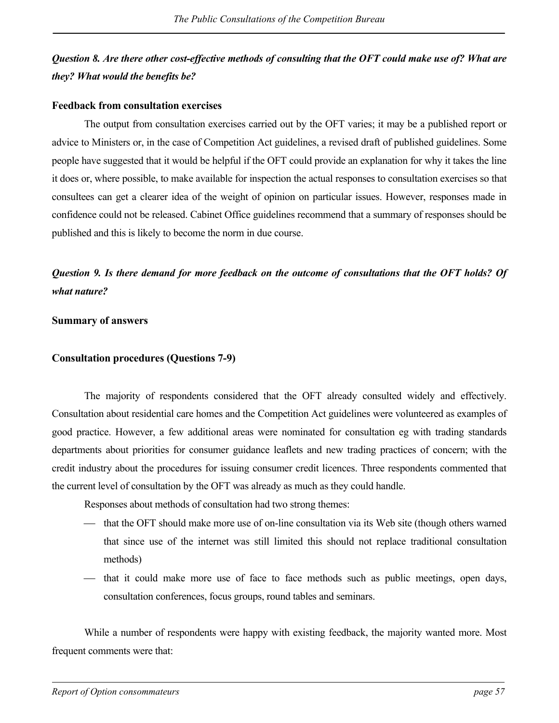## *Question 8. Are there other cost-effective methods of consulting that the OFT could make use of? What are they? What would the benefits be?*

### **Feedback from consultation exercises**

The output from consultation exercises carried out by the OFT varies; it may be a published report or advice to Ministers or, in the case of Competition Act guidelines, a revised draft of published guidelines. Some people have suggested that it would be helpful if the OFT could provide an explanation for why it takes the line it does or, where possible, to make available for inspection the actual responses to consultation exercises so that consultees can get a clearer idea of the weight of opinion on particular issues. However, responses made in confidence could not be released. Cabinet Office guidelines recommend that a summary of responses should be published and this is likely to become the norm in due course.

*Question 9. Is there demand for more feedback on the outcome of consultations that the OFT holds? Of what nature?* 

### **Summary of answers**

### **Consultation procedures (Questions 7-9)**

The majority of respondents considered that the OFT already consulted widely and effectively. Consultation about residential care homes and the Competition Act guidelines were volunteered as examples of good practice. However, a few additional areas were nominated for consultation eg with trading standards departments about priorities for consumer guidance leaflets and new trading practices of concern; with the credit industry about the procedures for issuing consumer credit licences. Three respondents commented that the current level of consultation by the OFT was already as much as they could handle.

- Responses about methods of consultation had two strong themes:
- that the OFT should make more use of on-line consultation via its Web site (though others warned that since use of the internet was still limited this should not replace traditional consultation methods)
- that it could make more use of face to face methods such as public meetings, open days, consultation conferences, focus groups, round tables and seminars.

While a number of respondents were happy with existing feedback, the majority wanted more. Most frequent comments were that: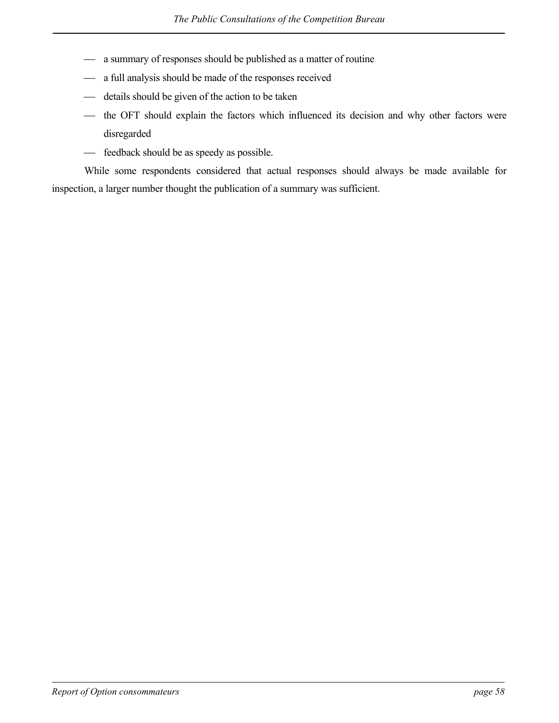- a summary of responses should be published as a matter of routine
- a full analysis should be made of the responses received
- details should be given of the action to be taken
- the OFT should explain the factors which influenced its decision and why other factors were disregarded
- $\equiv$  feedback should be as speedy as possible.

While some respondents considered that actual responses should always be made available for inspection, a larger number thought the publication of a summary was sufficient.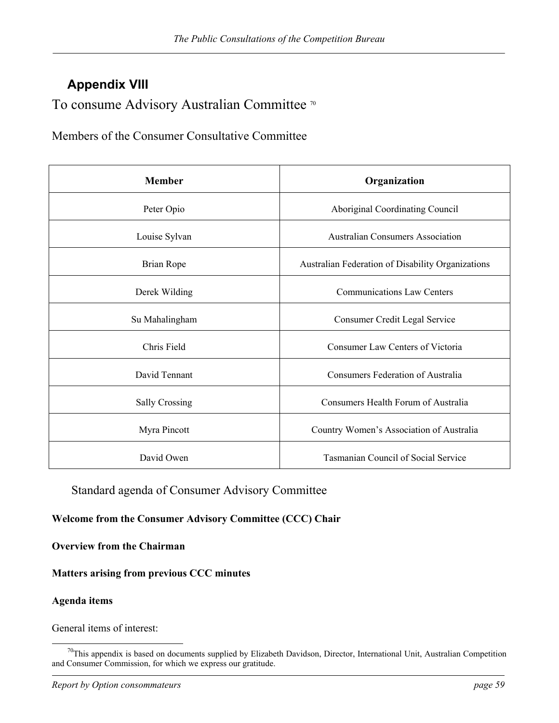## <span id="page-66-0"></span>**Appendix VIII**

To consume Advisory Australian Committee<sup>[70](#page-66-1)</sup>

Members of the Consumer Consultative Committee

| <b>Member</b>         | Organization                                      |
|-----------------------|---------------------------------------------------|
| Peter Opio            | Aboriginal Coordinating Council                   |
| Louise Sylvan         | <b>Australian Consumers Association</b>           |
| Brian Rope            | Australian Federation of Disability Organizations |
| Derek Wilding         | <b>Communications Law Centers</b>                 |
| Su Mahalingham        | Consumer Credit Legal Service                     |
| Chris Field           | Consumer Law Centers of Victoria                  |
| David Tennant         | Consumers Federation of Australia                 |
| <b>Sally Crossing</b> | Consumers Health Forum of Australia               |
| Myra Pincott          | Country Women's Association of Australia          |
| David Owen            | Tasmanian Council of Social Service               |

### Standard agenda of Consumer Advisory Committee

### **Welcome from the Consumer Advisory Committee (CCC) Chair**

**Overview from the Chairman** 

### **Matters arising from previous CCC minutes**

### **Agenda items**

l

General items of interest:

<span id="page-66-1"></span> $70$ This appendix is based on documents supplied by Elizabeth Davidson, Director, International Unit, Australian Competition and Consumer Commission, for which we express our gratitude.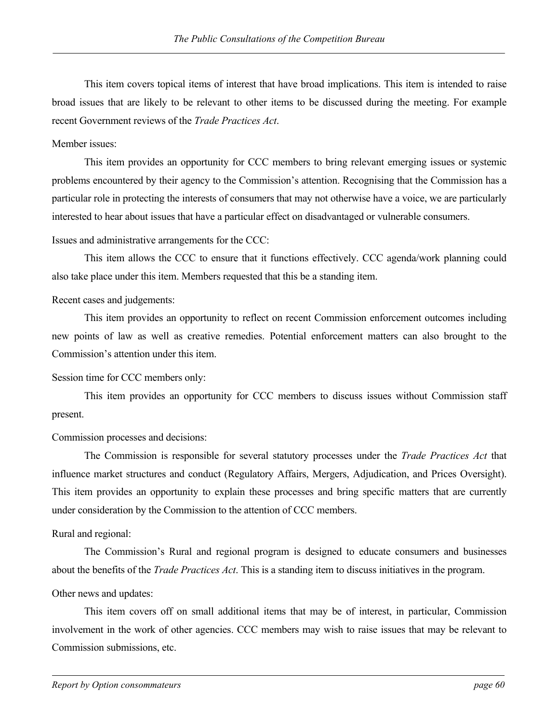This item covers topical items of interest that have broad implications. This item is intended to raise broad issues that are likely to be relevant to other items to be discussed during the meeting. For example recent Government reviews of the *Trade Practices Act*.

### Member issues:

This item provides an opportunity for CCC members to bring relevant emerging issues or systemic problems encountered by their agency to the Commission's attention. Recognising that the Commission has a particular role in protecting the interests of consumers that may not otherwise have a voice, we are particularly interested to hear about issues that have a particular effect on disadvantaged or vulnerable consumers.

Issues and administrative arrangements for the CCC:

This item allows the CCC to ensure that it functions effectively. CCC agenda/work planning could also take place under this item. Members requested that this be a standing item.

### Recent cases and judgements:

This item provides an opportunity to reflect on recent Commission enforcement outcomes including new points of law as well as creative remedies. Potential enforcement matters can also brought to the Commission's attention under this item.

Session time for CCC members only:

This item provides an opportunity for CCC members to discuss issues without Commission staff present.

Commission processes and decisions:

The Commission is responsible for several statutory processes under the *Trade Practices Act* that influence market structures and conduct (Regulatory Affairs, Mergers, Adjudication, and Prices Oversight). This item provides an opportunity to explain these processes and bring specific matters that are currently under consideration by the Commission to the attention of CCC members.

### Rural and regional:

The Commission's Rural and regional program is designed to educate consumers and businesses about the benefits of the *Trade Practices Act*. This is a standing item to discuss initiatives in the program.

### Other news and updates:

This item covers off on small additional items that may be of interest, in particular, Commission involvement in the work of other agencies. CCC members may wish to raise issues that may be relevant to Commission submissions, etc.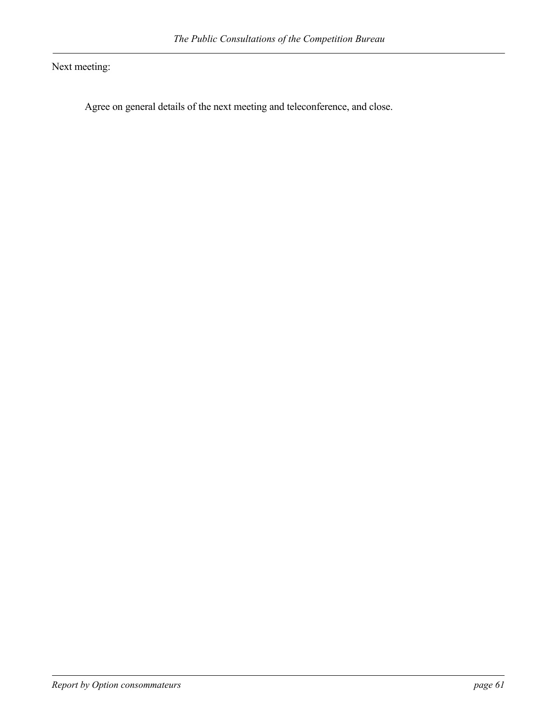Next meeting:

Agree on general details of the next meeting and teleconference, and close.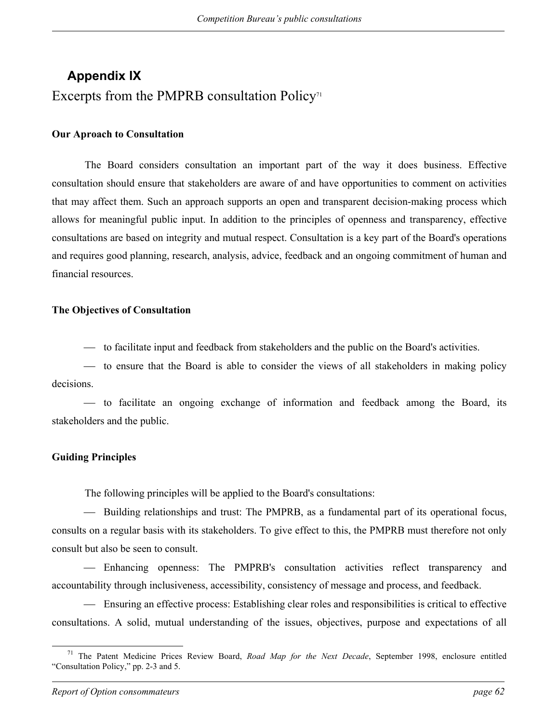# <span id="page-69-0"></span>**Appendix IX**  Excerpts from the PMPRB consultation Policy<sup> $\pi$ </sup>

### **Our Aproach to Consultation**

The Board considers consultation an important part of the way it does business. Effective consultation should ensure that stakeholders are aware of and have opportunities to comment on activities that may affect them. Such an approach supports an open and transparent decision-making process which allows for meaningful public input. In addition to the principles of openness and transparency, effective consultations are based on integrity and mutual respect. Consultation is a key part of the Board's operations and requires good planning, research, analysis, advice, feedback and an ongoing commitment of human and financial resources.

### **The Objectives of Consultation**

to facilitate input and feedback from stakeholders and the public on the Board's activities.

 to ensure that the Board is able to consider the views of all stakeholders in making policy decisions.

 to facilitate an ongoing exchange of information and feedback among the Board, its stakeholders and the public.

### **Guiding Principles**

The following principles will be applied to the Board's consultations:

 Building relationships and trust: The PMPRB, as a fundamental part of its operational focus, consults on a regular basis with its stakeholders. To give effect to this, the PMPRB must therefore not only consult but also be seen to consult.

 Enhancing openness: The PMPRB's consultation activities reflect transparency and accountability through inclusiveness, accessibility, consistency of message and process, and feedback.

 Ensuring an effective process: Establishing clear roles and responsibilities is critical to effective consultations. A solid, mutual understanding of the issues, objectives, purpose and expectations of all

<span id="page-69-1"></span> <sup>71</sup> The Patent Medicine Prices Review Board, *Road Map for the Next Decade*, September 1998, enclosure entitled "Consultation Policy," pp. 2-3 and 5.